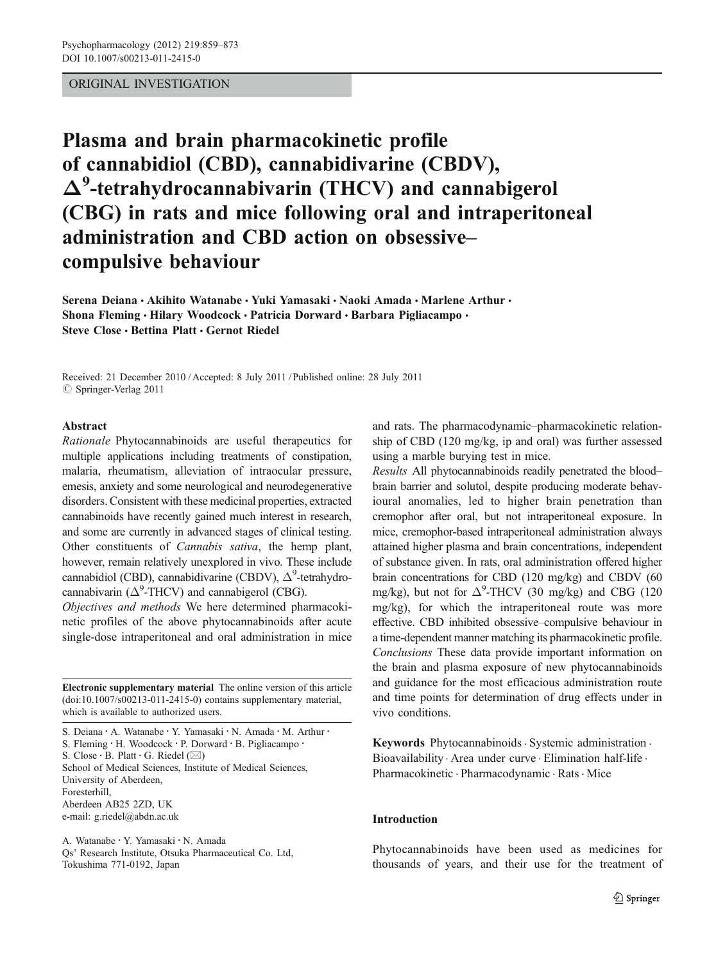## ORIGINAL INVESTIGATION

# Plasma and brain pharmacokinetic profile of cannabidiol (CBD), cannabidivarine (CBDV), Δ<sup>9</sup> -tetrahydrocannabivarin (THCV) and cannabigerol (CBG) in rats and mice following oral and intraperitoneal administration and CBD action on obsessive– compulsive behaviour

Serena Deiana • Akihito Watanabe • Yuki Yamasaki • Naoki Amada • Marlene Arthur • Shona Fleming • Hilary Woodcock • Patricia Dorward • Barbara Pigliacampo • Steve Close · Bettina Platt · Gernot Riedel

Received: 21 December 2010 / Accepted: 8 July 2011 / Published online: 28 July 2011  $\circ$  Springer-Verlag 2011

## Abstract

Rationale Phytocannabinoids are useful therapeutics for multiple applications including treatments of constipation, malaria, rheumatism, alleviation of intraocular pressure, emesis, anxiety and some neurological and neurodegenerative disorders. Consistent with these medicinal properties, extracted cannabinoids have recently gained much interest in research, and some are currently in advanced stages of clinical testing. Other constituents of Cannabis sativa, the hemp plant, however, remain relatively unexplored in vivo. These include cannabidiol (CBD), cannabidivarine (CBDV),  $\Delta^9$ -tetrahydrocannabivarin ( $\Delta^9$ -THCV) and cannabigerol (CBG).

Objectives and methods We here determined pharmacokinetic profiles of the above phytocannabinoids after acute single-dose intraperitoneal and oral administration in mice

Electronic supplementary material The online version of this article (doi:[10.1007/s00213-011-2415-0\)](http://dx.doi.org/10.1007/s00213-011-2415-0) contains supplementary material, which is available to authorized users.

S. Deiana : A. Watanabe : Y. Yamasaki : N. Amada : M. Arthur : S. Fleming : H. Woodcock : P. Dorward : B. Pigliacampo : S. Close ⋅ B. Platt ⋅ G. Riedel (⊠) School of Medical Sciences, Institute of Medical Sciences, University of Aberdeen,

Foresterhill,

Aberdeen AB25 2ZD, UK e-mail: g.riedel@abdn.ac.uk

A. Watanabe : Y. Yamasaki : N. Amada Qs' Research Institute, Otsuka Pharmaceutical Co. Ltd, Tokushima 771-0192, Japan

and rats. The pharmacodynamic–pharmacokinetic relationship of CBD (120 mg/kg, ip and oral) was further assessed using a marble burying test in mice.

Results All phytocannabinoids readily penetrated the blood– brain barrier and solutol, despite producing moderate behavioural anomalies, led to higher brain penetration than cremophor after oral, but not intraperitoneal exposure. In mice, cremophor-based intraperitoneal administration always attained higher plasma and brain concentrations, independent of substance given. In rats, oral administration offered higher brain concentrations for CBD (120 mg/kg) and CBDV (60 mg/kg), but not for  $\Delta^9$ -THCV (30 mg/kg) and CBG (120 mg/kg), for which the intraperitoneal route was more effective. CBD inhibited obsessive–compulsive behaviour in a time-dependent manner matching its pharmacokinetic profile. Conclusions These data provide important information on the brain and plasma exposure of new phytocannabinoids and guidance for the most efficacious administration route and time points for determination of drug effects under in vivo conditions.

Keywords Phytocannabinoids · Systemic administration · Bioavailability . Area under curve . Elimination half-life . Pharmacokinetic · Pharmacodynamic · Rats · Mice

## Introduction

Phytocannabinoids have been used as medicines for thousands of years, and their use for the treatment of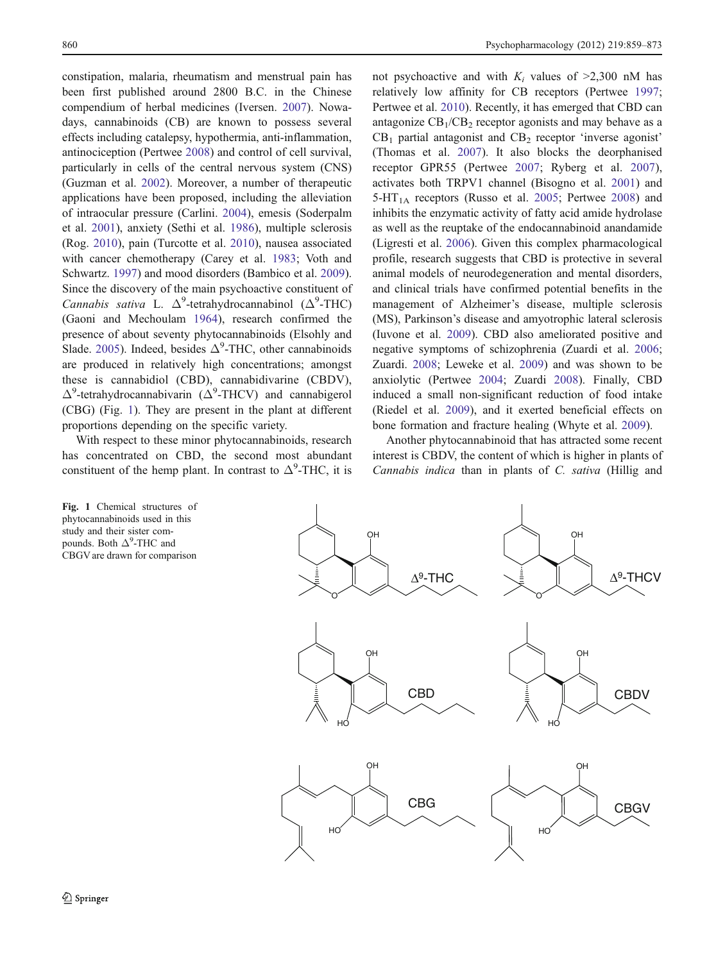constipation, malaria, rheumatism and menstrual pain has been first published around 2800 B.C. in the Chinese compendium of herbal medicines (Iversen. 2007). Nowadays, cannabinoids (CB) are known to possess several effects including catalepsy, hypothermia, anti-inflammation, antinociception (Pertwee 2008) and control of cell survival, particularly in cells of the central nervous system (CNS) (Guzman et al. 2002). Moreover, a number of therapeutic applications have been proposed, including the alleviation of intraocular pressure (Carlini. 2004), emesis (Soderpalm et al. 2001), anxiety (Sethi et al. 1986), multiple sclerosis (Rog. 2010), pain (Turcotte et al. 2010), nausea associated with cancer chemotherapy (Carey et al. 1983; Voth and Schwartz. 1997) and mood disorders (Bambico et al. 2009). Since the discovery of the main psychoactive constituent of Cannabis sativa L.  $\Delta^9$ -tetrahydrocannabinol ( $\Delta^9$ -THC) (Gaoni and Mechoulam 1964), research confirmed the presence of about seventy phytocannabinoids (Elsohly and Slade. 2005). Indeed, besides  $\Delta^9$ -THC, other cannabinoids are produced in relatively high concentrations; amongst these is cannabidiol (CBD), cannabidivarine (CBDV),  $\Delta^9$ -tetrahydrocannabivarin ( $\Delta^9$ -THCV) and cannabigerol (CBG) (Fig. 1). They are present in the plant at different proportions depending on the specific variety.

With respect to these minor phytocannabinoids, research has concentrated on CBD, the second most abundant constituent of the hemp plant. In contrast to  $\Delta^9$ -THC, it is

Fig. 1 Chemical structures of phytocannabinoids used in this study and their sister compounds. Both  $\Delta^9$ -THC and CBGV are drawn for comparison not psychoactive and with  $K_i$  values of  $\geq 2.300$  nM has relatively low affinity for CB receptors (Pertwee 1997; Pertwee et al. 2010). Recently, it has emerged that CBD can antagonize  $CB_1/CB_2$  receptor agonists and may behave as a  $CB<sub>1</sub>$  partial antagonist and  $CB<sub>2</sub>$  receptor 'inverse agonist' (Thomas et al. 2007). It also blocks the deorphanised receptor GPR55 (Pertwee 2007; Ryberg et al. 2007), activates both TRPV1 channel (Bisogno et al. 2001) and  $5-\text{HT}_{1\text{A}}$  receptors (Russo et al. 2005; Pertwee 2008) and inhibits the enzymatic activity of fatty acid amide hydrolase as well as the reuptake of the endocannabinoid anandamide (Ligresti et al. 2006). Given this complex pharmacological profile, research suggests that CBD is protective in several animal models of neurodegeneration and mental disorders, and clinical trials have confirmed potential benefits in the management of Alzheimer's disease, multiple sclerosis (MS), Parkinson's disease and amyotrophic lateral sclerosis (Iuvone et al. 2009). CBD also ameliorated positive and negative symptoms of schizophrenia (Zuardi et al. 2006; Zuardi. 2008; Leweke et al. 2009) and was shown to be anxiolytic (Pertwee 2004; Zuardi 2008). Finally, CBD induced a small non-significant reduction of food intake (Riedel et al. 2009), and it exerted beneficial effects on bone formation and fracture healing (Whyte et al. 2009).

Another phytocannabinoid that has attracted some recent interest is CBDV, the content of which is higher in plants of Cannabis indica than in plants of C. sativa (Hillig and

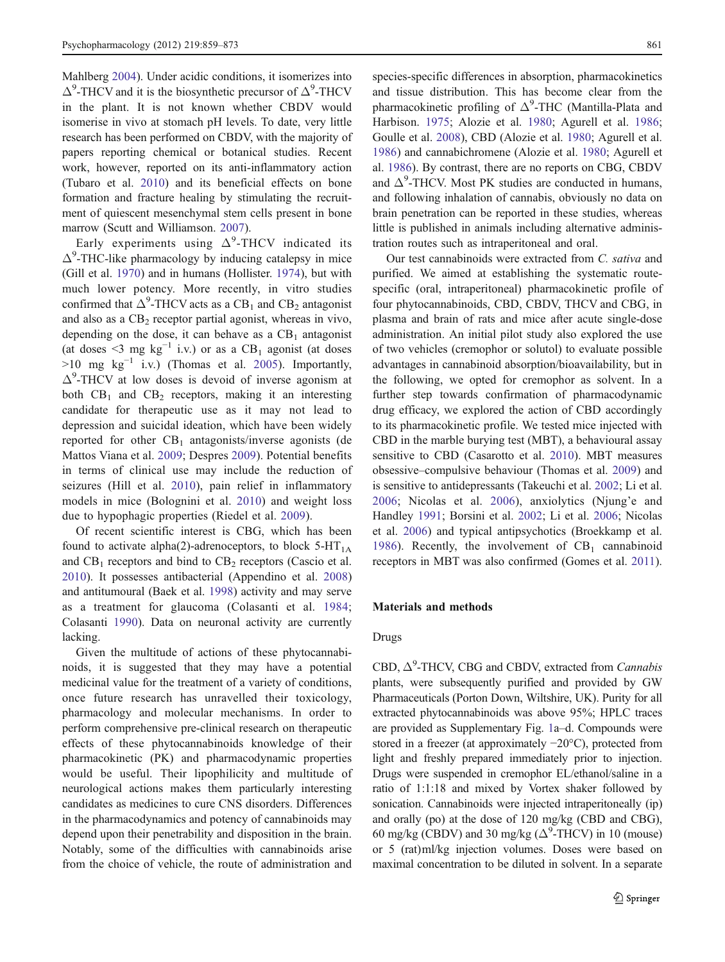Mahlberg 2004). Under acidic conditions, it isomerizes into  $\Delta^9$ -THCV and it is the biosynthetic precursor of  $\Delta^9$ -THCV in the plant. It is not known whether CBDV would isomerise in vivo at stomach pH levels. To date, very little research has been performed on CBDV, with the majority of papers reporting chemical or botanical studies. Recent work, however, reported on its anti-inflammatory action (Tubaro et al. 2010) and its beneficial effects on bone formation and fracture healing by stimulating the recruitment of quiescent mesenchymal stem cells present in bone marrow (Scutt and Williamson. 2007).

Early experiments using  $\Delta^9$ -THCV indicated its  $\Delta^9$ -THC-like pharmacology by inducing catalepsy in mice (Gill et al. 1970) and in humans (Hollister. 1974), but with much lower potency. More recently, in vitro studies confirmed that  $\Delta^9$ -THCV acts as a CB<sub>1</sub> and CB<sub>2</sub> antagonist and also as a  $CB<sub>2</sub>$  receptor partial agonist, whereas in vivo, depending on the dose, it can behave as a  $CB<sub>1</sub>$  antagonist (at doses <3 mg kg<sup>-1</sup> i.v.) or as a CB<sub>1</sub> agonist (at doses  $>10$  mg kg<sup>-1</sup> i.v.) (Thomas et al. 2005). Importantly,  $\Delta^9$ -THCV at low doses is devoid of inverse agonism at both  $CB_1$  and  $CB_2$  receptors, making it an interesting candidate for therapeutic use as it may not lead to depression and suicidal ideation, which have been widely reported for other  $CB_1$  antagonists/inverse agonists (de Mattos Viana et al. 2009; Despres 2009). Potential benefits in terms of clinical use may include the reduction of seizures (Hill et al. 2010), pain relief in inflammatory models in mice (Bolognini et al. 2010) and weight loss due to hypophagic properties (Riedel et al. 2009).

Of recent scientific interest is CBG, which has been found to activate alpha(2)-adrenoceptors, to block  $5-HT_{1A}$ and  $CB_1$  receptors and bind to  $CB_2$  receptors (Cascio et al. 2010). It possesses antibacterial (Appendino et al. 2008) and antitumoural (Baek et al. 1998) activity and may serve as a treatment for glaucoma (Colasanti et al. 1984; Colasanti 1990). Data on neuronal activity are currently lacking.

Given the multitude of actions of these phytocannabinoids, it is suggested that they may have a potential medicinal value for the treatment of a variety of conditions, once future research has unravelled their toxicology, pharmacology and molecular mechanisms. In order to perform comprehensive pre-clinical research on therapeutic effects of these phytocannabinoids knowledge of their pharmacokinetic (PK) and pharmacodynamic properties would be useful. Their lipophilicity and multitude of neurological actions makes them particularly interesting candidates as medicines to cure CNS disorders. Differences in the pharmacodynamics and potency of cannabinoids may depend upon their penetrability and disposition in the brain. Notably, some of the difficulties with cannabinoids arise from the choice of vehicle, the route of administration and species-specific differences in absorption, pharmacokinetics and tissue distribution. This has become clear from the pharmacokinetic profiling of  $\Delta^9$ -THC (Mantilla-Plata and Harbison. 1975; Alozie et al. 1980; Agurell et al. 1986; Goulle et al. 2008), CBD (Alozie et al. 1980; Agurell et al. 1986) and cannabichromene (Alozie et al. 1980; Agurell et al. 1986). By contrast, there are no reports on CBG, CBDV and  $\Delta^9$ -THCV. Most PK studies are conducted in humans, and following inhalation of cannabis, obviously no data on brain penetration can be reported in these studies, whereas little is published in animals including alternative administration routes such as intraperitoneal and oral.

Our test cannabinoids were extracted from C. sativa and purified. We aimed at establishing the systematic routespecific (oral, intraperitoneal) pharmacokinetic profile of four phytocannabinoids, CBD, CBDV, THCV and CBG, in plasma and brain of rats and mice after acute single-dose administration. An initial pilot study also explored the use of two vehicles (cremophor or solutol) to evaluate possible advantages in cannabinoid absorption/bioavailability, but in the following, we opted for cremophor as solvent. In a further step towards confirmation of pharmacodynamic drug efficacy, we explored the action of CBD accordingly to its pharmacokinetic profile. We tested mice injected with CBD in the marble burying test (MBT), a behavioural assay sensitive to CBD (Casarotto et al. 2010). MBT measures obsessive–compulsive behaviour (Thomas et al. 2009) and is sensitive to antidepressants (Takeuchi et al. 2002; Li et al. 2006; Nicolas et al. 2006), anxiolytics (Njung'e and Handley 1991; Borsini et al. 2002; Li et al. 2006; Nicolas et al. 2006) and typical antipsychotics (Broekkamp et al. 1986). Recently, the involvement of  $CB_1$  cannabinoid receptors in MBT was also confirmed (Gomes et al. 2011).

## Materials and methods

## Drugs

CBD,  $\Delta^9$ -THCV, CBG and CBDV, extracted from *Cannabis* plants, were subsequently purified and provided by GW Pharmaceuticals (Porton Down, Wiltshire, UK). Purity for all extracted phytocannabinoids was above 95%; HPLC traces are provided as Supplementary Fig. 1a–d. Compounds were stored in a freezer (at approximately −20°C), protected from light and freshly prepared immediately prior to injection. Drugs were suspended in cremophor EL/ethanol/saline in a ratio of 1:1:18 and mixed by Vortex shaker followed by sonication. Cannabinoids were injected intraperitoneally (ip) and orally (po) at the dose of 120 mg/kg (CBD and CBG), 60 mg/kg (CBDV) and 30 mg/kg ( $\Delta^9$ -THCV) in 10 (mouse) or 5 (rat)ml/kg injection volumes. Doses were based on maximal concentration to be diluted in solvent. In a separate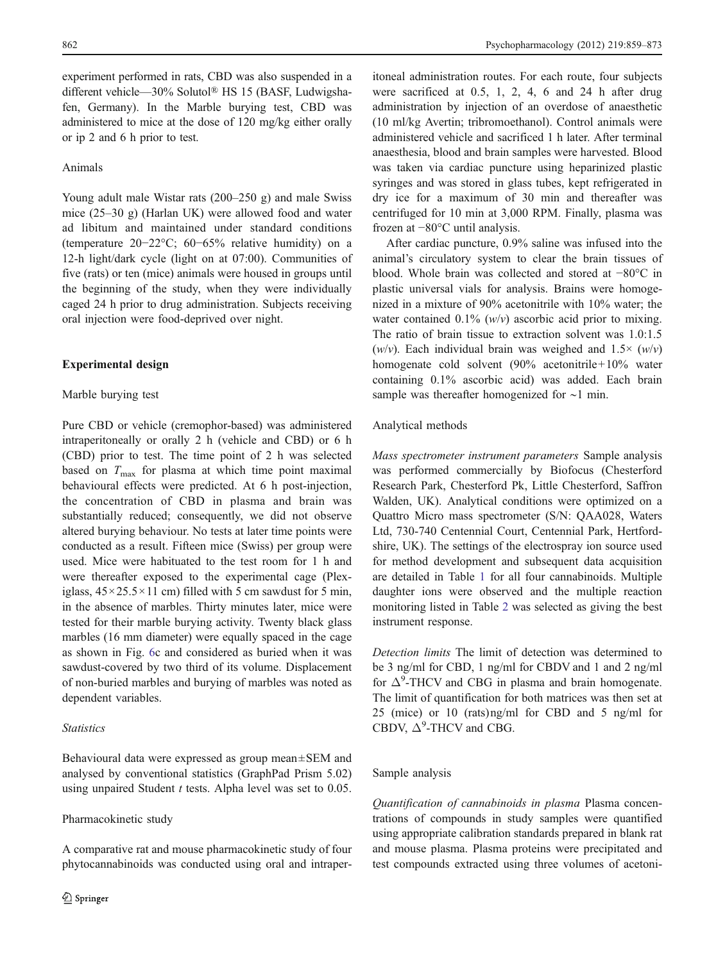experiment performed in rats, CBD was also suspended in a different vehicle—30% Solutol® HS 15 (BASF, Ludwigshafen, Germany). In the Marble burying test, CBD was administered to mice at the dose of 120 mg/kg either orally or ip 2 and 6 h prior to test.

## Animals

Young adult male Wistar rats (200–250 g) and male Swiss mice (25–30 g) (Harlan UK) were allowed food and water ad libitum and maintained under standard conditions (temperature 20−22°C; 60−65% relative humidity) on a 12-h light/dark cycle (light on at 07:00). Communities of five (rats) or ten (mice) animals were housed in groups until the beginning of the study, when they were individually caged 24 h prior to drug administration. Subjects receiving oral injection were food-deprived over night.

#### Experimental design

#### Marble burying test

Pure CBD or vehicle (cremophor-based) was administered intraperitoneally or orally 2 h (vehicle and CBD) or 6 h (CBD) prior to test. The time point of 2 h was selected based on  $T_{\text{max}}$  for plasma at which time point maximal behavioural effects were predicted. At 6 h post-injection, the concentration of CBD in plasma and brain was substantially reduced; consequently, we did not observe altered burying behaviour. No tests at later time points were conducted as a result. Fifteen mice (Swiss) per group were used. Mice were habituated to the test room for 1 h and were thereafter exposed to the experimental cage (Plexiglass,  $45 \times 25.5 \times 11$  cm) filled with 5 cm sawdust for 5 min, in the absence of marbles. Thirty minutes later, mice were tested for their marble burying activity. Twenty black glass marbles (16 mm diameter) were equally spaced in the cage as shown in Fig. 6c and considered as buried when it was sawdust-covered by two third of its volume. Displacement of non-buried marbles and burying of marbles was noted as dependent variables.

## **Statistics**

Behavioural data were expressed as group mean±SEM and analysed by conventional statistics (GraphPad Prism 5.02) using unpaired Student  $t$  tests. Alpha level was set to  $0.05$ .

## Pharmacokinetic study

A comparative rat and mouse pharmacokinetic study of four phytocannabinoids was conducted using oral and intraperitoneal administration routes. For each route, four subjects were sacrificed at 0.5, 1, 2, 4, 6 and 24 h after drug administration by injection of an overdose of anaesthetic (10 ml/kg Avertin; tribromoethanol). Control animals were administered vehicle and sacrificed 1 h later. After terminal anaesthesia, blood and brain samples were harvested. Blood was taken via cardiac puncture using heparinized plastic syringes and was stored in glass tubes, kept refrigerated in dry ice for a maximum of 30 min and thereafter was centrifuged for 10 min at 3,000 RPM. Finally, plasma was frozen at −80°C until analysis.

After cardiac puncture, 0.9% saline was infused into the animal's circulatory system to clear the brain tissues of blood. Whole brain was collected and stored at −80°C in plastic universal vials for analysis. Brains were homogenized in a mixture of 90% acetonitrile with 10% water; the water contained  $0.1\%$  (w/v) ascorbic acid prior to mixing. The ratio of brain tissue to extraction solvent was 1.0:1.5 (w/v). Each individual brain was weighed and  $1.5\times$  (w/v) homogenate cold solvent (90% acetonitrile+10% water containing 0.1% ascorbic acid) was added. Each brain sample was thereafter homogenized for ∼1 min.

## Analytical methods

Mass spectrometer instrument parameters Sample analysis was performed commercially by Biofocus (Chesterford Research Park, Chesterford Pk, Little Chesterford, Saffron Walden, UK). Analytical conditions were optimized on a Quattro Micro mass spectrometer (S/N: QAA028, Waters Ltd, 730-740 Centennial Court, Centennial Park, Hertfordshire, UK). The settings of the electrospray ion source used for method development and subsequent data acquisition are detailed in Table 1 for all four cannabinoids. Multiple daughter ions were observed and the multiple reaction monitoring listed in Table 2 was selected as giving the best instrument response.

Detection limits The limit of detection was determined to be 3 ng/ml for CBD, 1 ng/ml for CBDV and 1 and 2 ng/ml for  $\Delta^9$ -THCV and CBG in plasma and brain homogenate. The limit of quantification for both matrices was then set at 25 (mice) or 10 (rats)ng/ml for CBD and 5 ng/ml for CBDV,  $\Delta^9$ -THCV and CBG.

#### Sample analysis

Quantification of cannabinoids in plasma Plasma concentrations of compounds in study samples were quantified using appropriate calibration standards prepared in blank rat and mouse plasma. Plasma proteins were precipitated and test compounds extracted using three volumes of acetoni-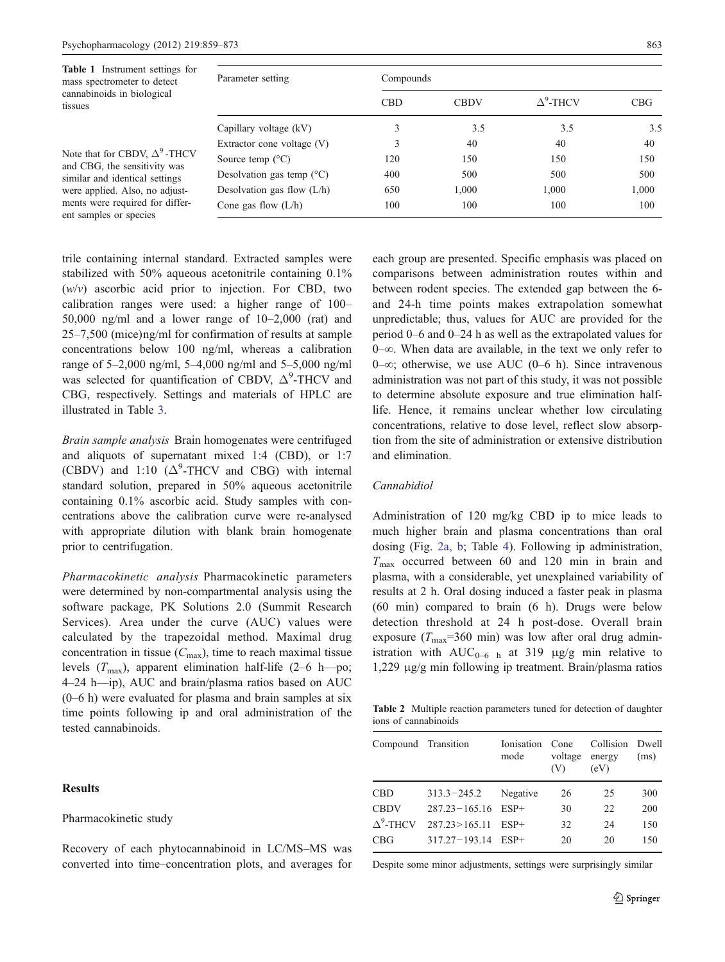| <b>Table 1</b> Instrument settings for<br>mass spectrometer to detect<br>cannabinoids in biological<br>tissues                                                                                        | Parameter setting                  | Compounds  |             |                  |            |  |  |  |
|-------------------------------------------------------------------------------------------------------------------------------------------------------------------------------------------------------|------------------------------------|------------|-------------|------------------|------------|--|--|--|
|                                                                                                                                                                                                       |                                    | <b>CBD</b> | <b>CBDV</b> | $\Delta^9$ -THCV | <b>CBG</b> |  |  |  |
|                                                                                                                                                                                                       | Capillary voltage (kV)             |            | 3.5         | 3.5              | 3.5        |  |  |  |
|                                                                                                                                                                                                       | Extractor cone voltage $(V)$       |            | 40          | 40               | 40         |  |  |  |
| Note that for CBDV, $\Delta^9$ -THCV<br>and CBG, the sensitivity was<br>similar and identical settings<br>were applied. Also, no adjust-<br>ments were required for differ-<br>ent samples or species | Source temp $(^{\circ}C)$          | 120        | 150         | 150              | 150        |  |  |  |
|                                                                                                                                                                                                       | Desolvation gas temp $(^{\circ}C)$ | 400        | 500         | 500              | 500        |  |  |  |
|                                                                                                                                                                                                       | Desolvation gas flow $(L/h)$       | 650        | 1,000       | 1,000            | 1,000      |  |  |  |
|                                                                                                                                                                                                       | Cone gas flow $(L/h)$              | 100        | 100         | 100              | 100        |  |  |  |

trile containing internal standard. Extracted samples were stabilized with 50% aqueous acetonitrile containing 0.1%  $(w/v)$  ascorbic acid prior to injection. For CBD, two calibration ranges were used: a higher range of 100– 50,000 ng/ml and a lower range of 10–2,000 (rat) and 25–7,500 (mice)ng/ml for confirmation of results at sample concentrations below 100 ng/ml, whereas a calibration range of 5–2,000 ng/ml, 5–4,000 ng/ml and 5–5,000 ng/ml was selected for quantification of CBDV,  $\Delta^9$ -THCV and CBG, respectively. Settings and materials of HPLC are illustrated in Table 3.

Brain sample analysis Brain homogenates were centrifuged and aliquots of supernatant mixed 1:4 (CBD), or 1:7 (CBDV) and 1:10  $({\Delta}^{9}$ -THCV and CBG) with internal standard solution, prepared in 50% aqueous acetonitrile containing 0.1% ascorbic acid. Study samples with concentrations above the calibration curve were re-analysed with appropriate dilution with blank brain homogenate prior to centrifugation.

Pharmacokinetic analysis Pharmacokinetic parameters were determined by non-compartmental analysis using the software package, PK Solutions 2.0 (Summit Research Services). Area under the curve (AUC) values were calculated by the trapezoidal method. Maximal drug concentration in tissue  $(C_{\text{max}})$ , time to reach maximal tissue levels  $(T_{\text{max}})$ , apparent elimination half-life (2–6 h—po; 4–24 h—ip), AUC and brain/plasma ratios based on AUC (0–6 h) were evaluated for plasma and brain samples at six time points following ip and oral administration of the tested cannabinoids.

## Results

## Pharmacokinetic study

Recovery of each phytocannabinoid in LC/MS–MS was converted into time–concentration plots, and averages for each group are presented. Specific emphasis was placed on comparisons between administration routes within and between rodent species. The extended gap between the 6 and 24-h time points makes extrapolation somewhat unpredictable; thus, values for AUC are provided for the period 0–6 and 0–24 h as well as the extrapolated values for 0–∞. When data are available, in the text we only refer to 0–∞; otherwise, we use AUC (0–6 h). Since intravenous administration was not part of this study, it was not possible to determine absolute exposure and true elimination halflife. Hence, it remains unclear whether low circulating concentrations, relative to dose level, reflect slow absorption from the site of administration or extensive distribution and elimination.

## Cannabidiol

Administration of 120 mg/kg CBD ip to mice leads to much higher brain and plasma concentrations than oral dosing (Fig. 2a, b; Table 4). Following ip administration,  $T_{\text{max}}$  occurred between 60 and 120 min in brain and plasma, with a considerable, yet unexplained variability of results at 2 h. Oral dosing induced a faster peak in plasma (60 min) compared to brain (6 h). Drugs were below detection threshold at 24 h post-dose. Overall brain exposure ( $T_{\text{max}}$ =360 min) was low after oral drug administration with  $AUC_{0-6}$  h at 319 μg/g min relative to 1,229 μg/g min following ip treatment. Brain/plasma ratios

Table 2 Multiple reaction parameters tuned for detection of daughter ions of cannabinoids

| Compound Transition |                        | <b>Ionisation</b><br>mode | Cone<br>voltage<br>(V) | Collision<br>energy<br>(eV) | <b>Dwell</b><br>(ms) |
|---------------------|------------------------|---------------------------|------------------------|-----------------------------|----------------------|
| CBD                 | $313.3 - 245.2$        | Negative                  | 26                     | 25                          | 300                  |
| <b>CBDV</b>         | $287.23 - 165.16$ ESP+ |                           | 30                     | 22                          | 200                  |
| $\Lambda^9$ -THCV   | 287.23 > 165.11        | $ESP+$                    | 32                     | 24                          | 150                  |
| <b>CBG</b>          | $317.27 - 193.14$      | ESP+                      | 20                     | 20                          | 150                  |

Despite some minor adjustments, settings were surprisingly similar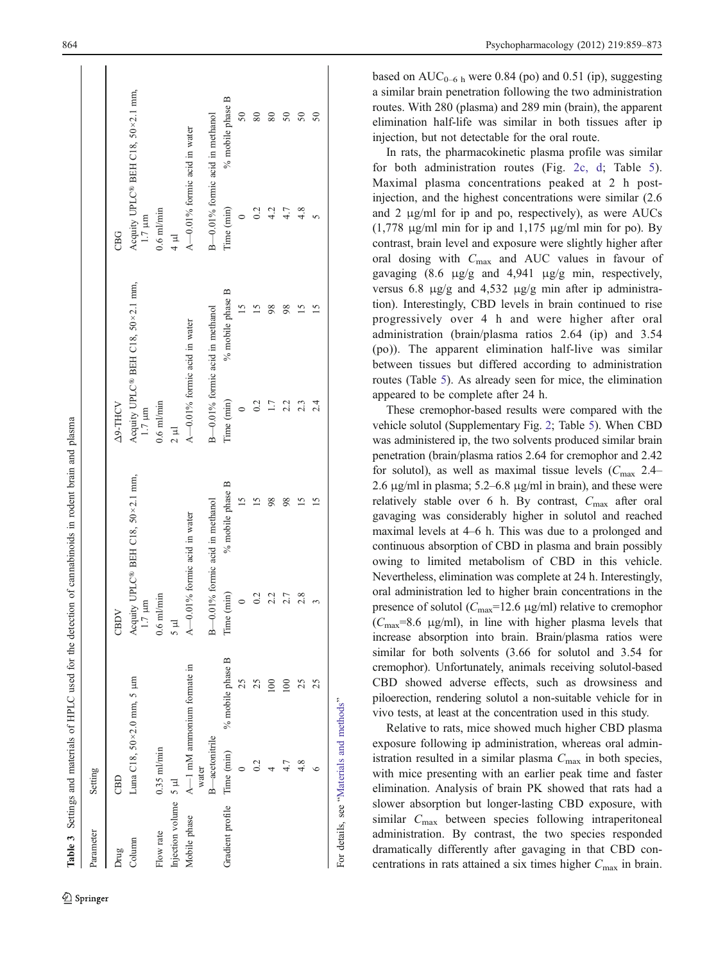|                             |                           |                              |                                | Table 3 Settings and materials of HPLC used for the detection of cannabinoids in rodent brain and plasma |                              |                                   |                                |                                   |
|-----------------------------|---------------------------|------------------------------|--------------------------------|----------------------------------------------------------------------------------------------------------|------------------------------|-----------------------------------|--------------------------------|-----------------------------------|
| Parameter                   | Setting                   |                              |                                |                                                                                                          |                              |                                   |                                |                                   |
| Drug                        | CBD                       |                              | CBDV                           |                                                                                                          | <b>Z9-THCV</b>               |                                   | <b>CBG</b>                     |                                   |
| Column                      | Luna C18, 50×2.0 mm, 5 µm |                              | E<br>1.7 <sub>1</sub>          | Acquity UPLC® BEH C18, 50×2.1 mm,                                                                        | $1.7 \mu m$                  | Acquity UPLC® BEH C18, 50×2.1 mm, | $1.7~\mu{\rm m}$               | Acquity UPLC® BEH C18, 50×2.1 mm, |
| Flow rate                   | $0.35$ $ml/min$           |                              | $0.6$ m $l$ /min               |                                                                                                          | $0.6$ m $l$ /min             |                                   | $0.6$ m $l$ /min               |                                   |
| Injection volume 5 µl       |                           |                              | m s                            |                                                                                                          | $\frac{1}{2}$                |                                   | $\frac{1}{4}$ µ                |                                   |
| Mobile phase                | water                     | $A-1$ mM ammonium formate in | $A=0.$                         | 01% formic acid in water                                                                                 | A-0.01% formic acid in water |                                   | A-0.01% formic acid in water   |                                   |
|                             | B—acetonitrile            |                              | B-0.1% formic acid in methanol |                                                                                                          |                              | B-0.1% formic acid in methanol    | B-0.1% formic acid in methanol |                                   |
| Gradient profile Time (min) |                           | % mobile phase B             | (min)<br>Time (                | % mobile phase B                                                                                         | Time (min)                   | % mobile phase B                  | Time (min)                     | % mobile phase B                  |
|                             |                           | 25                           | $\circ$                        | 15                                                                                                       |                              | $\overline{15}$                   |                                | $50\,$                            |
|                             | 0.2                       |                              | 0.2                            | $\overline{15}$                                                                                          | 0.2                          | ⊵                                 |                                | 80                                |
|                             |                           | $\approx 0$                  | 2.2                            | 98                                                                                                       |                              | 98                                | 4.2                            | 80                                |
|                             | 4.7                       | 100                          | 2.7                            | 98                                                                                                       | 2.2                          | 98                                | 4.7                            |                                   |
|                             | 4.8                       |                              | 2.8                            | 15                                                                                                       | 2.3                          | $\overline{5}$                    | 4.8                            | $\mathcal{S}$                     |
|                             |                           | 25                           |                                |                                                                                                          | 24                           |                                   | 5                              | 50                                |

based on  $AUC_{0-6 h}$  were 0.84 (po) and 0.51 (ip), suggesting a similar brain penetration following the two administration routes. With 280 (plasma) and 289 min (brain), the apparent elimination half-life was similar in both tissues after ip injection, but not detectable for the oral route.

In rats, the pharmacokinetic plasma profile was similar for both administration routes (Fig. 2c, d; Table 5). Maximal plasma concentrations peaked at 2 h postinjection, and the highest concentrations were similar (2.6 and 2 μg/ml for ip and po, respectively), as were AUCs (1,778 μg/ml min for ip and 1,175 μg/ml min for po). By contrast, brain level and exposure were slightly higher after oral dosing with  $C_{\text{max}}$  and AUC values in favour of gavaging (8.6 μg/g and 4,941 μg/g min, respectively, versus 6.8 μg/g and 4,532 μg/g min after ip administration). Interestingly, CBD levels in brain continued to rise progressively over 4 h and were higher after oral administration (brain/plasma ratios 2.64 (ip) and 3.54 (po)). The apparent elimination half-live was similar between tissues but differed according to administration routes (Table 5). As already seen for mice, the elimination appeared to be complete after 24 h.

These cremophor-based results were compared with the vehicle solutol (Supplementary Fig. 2; Table 5). When CBD was administered ip, the two solvents produced similar brain penetration (brain/plasma ratios 2.64 for cremophor and 2.42 for solutol), as well as maximal tissue levels  $(C_{\text{max}} 2.4-$ 2.6 μg/ml in plasma; 5.2 –6.8 μg/ml in brain), and these were relatively stable over 6 h. By contrast, C<sub>max</sub> after oral gavaging was considerably higher in solutol and reached maximal levels at 4 –6 h. This was due to a prolonged and continuous absorption of CBD in plasma and brain possibly owing to limited metabolism of CBD in this vehicle. Nevertheless, elimination was complete at 24 h. Interestingly, oral administration led to higher brain concentrations in the presence of solutol ( $C_{\text{max}}$ =12.6  $\mu$ g/ml) relative to cremophor  $(C_{\text{max}}=8.6 \text{ }\mu\text{g/ml})$ , in line with higher plasma levels that increase absorption into brain. Brain/plasma ratios were similar for both solvents (3.66 for solutol and 3.54 for cremophor). Unfortunately, animals receiving solutol-based CBD showed adverse effects, such as drowsiness and piloerection, rendering solutol a non-suitable vehicle for in vivo tests, at least at the concentration used in this study.

Relative to rats, mice showed much higher CBD plasma exposure following ip administration, whereas oral administration resulted in a similar plasma  $C_{\text{max}}$  in both species, with mice presenting with an earlier peak time and faster elimination. Analysis of brain PK showed that rats had a slower absorption but longer-lasting CBD exposure, with similar C<sub>max</sub> between species following intraperitoneal administration. By contrast, the two species responded dramatically differently after gavaging in that CBD concentrations in rats attained a six times higher  $C_{\text{max}}$  in brain.

For details, see "Materials and methods"

For details, see "Materials and methods"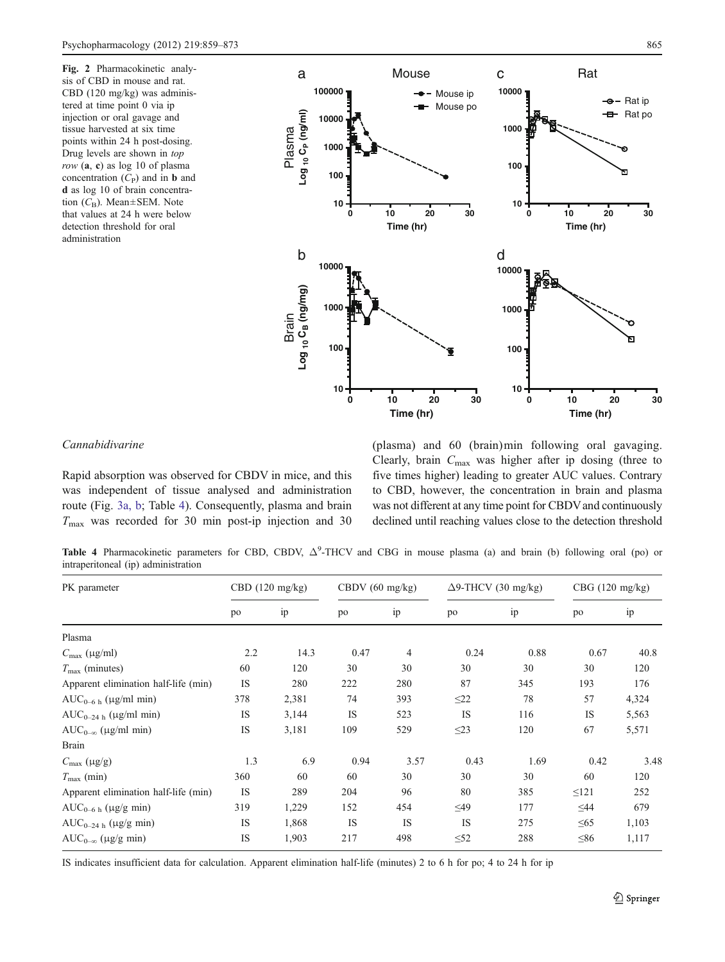Fig. 2 Pharmacokinetic analysis of CBD in mouse and rat. CBD (120 mg/kg) was administered at time point 0 via ip injection or oral gavage and tissue harvested at six time points within 24 h post-dosing. Drug levels are shown in top  $row$  (a, c) as log 10 of plasma concentration  $(C_P)$  and in **b** and d as log 10 of brain concentration  $(C_B)$ . Mean±SEM. Note that values at 24 h were below detection threshold for oral administration



## Cannabidivarine

Rapid absorption was observed for CBDV in mice, and this was independent of tissue analysed and administration route (Fig. 3a, b; Table 4). Consequently, plasma and brain  $T_{\text{max}}$  was recorded for 30 min post-ip injection and 30 (plasma) and 60 (brain)min following oral gavaging. Clearly, brain  $C_{\text{max}}$  was higher after ip dosing (three to five times higher) leading to greater AUC values. Contrary to CBD, however, the concentration in brain and plasma was not different at any time point for CBDV and continuously declined until reaching values close to the detection threshold

Table 4 Pharmacokinetic parameters for CBD, CBDV,  $\Delta^9$ -THCV and CBG in mouse plasma (a) and brain (b) following oral (po) or intraperitoneal (ip) administration

| PK parameter                         | CBD $(120 \text{ mg/kg})$ |       | CBDV $(60 \text{ mg/kg})$ |      | $\Delta$ 9-THCV (30 mg/kg) |      | CBG (120 mg/kg) |       |
|--------------------------------------|---------------------------|-------|---------------------------|------|----------------------------|------|-----------------|-------|
|                                      | po                        | ip    | po                        | ip   | po                         | ip   | po              | ip    |
| Plasma                               |                           |       |                           |      |                            |      |                 |       |
| $C_{\text{max}}$ (µg/ml)             | 2.2                       | 14.3  | 0.47                      | 4    | 0.24                       | 0.88 | 0.67            | 40.8  |
| $T_{\text{max}}$ (minutes)           | 60                        | 120   | 30                        | 30   | 30                         | 30   | 30              | 120   |
| Apparent elimination half-life (min) | <b>IS</b>                 | 280   | 222                       | 280  | 87                         | 345  | 193             | 176   |
| $AUC_{0-6 h}$ (µg/ml min)            | 378                       | 2,381 | 74                        | 393  | $\leq$ 22                  | 78   | 57              | 4,324 |
| $AUC_{0-24 h}$ (µg/ml min)           | IS                        | 3,144 | IS                        | 523  | IS                         | 116  | <b>IS</b>       | 5,563 |
| $AUC_{0-\infty}$ (µg/ml min)         | <b>IS</b>                 | 3,181 | 109                       | 529  | $\leq$ 23                  | 120  | 67              | 5,571 |
| <b>Brain</b>                         |                           |       |                           |      |                            |      |                 |       |
| $C_{\text{max}}$ (µg/g)              | 1.3                       | 6.9   | 0.94                      | 3.57 | 0.43                       | 1.69 | 0.42            | 3.48  |
| $T_{\text{max}}$ (min)               | 360                       | 60    | 60                        | 30   | 30                         | 30   | 60              | 120   |
| Apparent elimination half-life (min) | IS                        | 289   | 204                       | 96   | 80                         | 385  | $\leq 121$      | 252   |
| $AUC_{0-6 h}$ (µg/g min)             | 319                       | 1,229 | 152                       | 454  | $\leq49$                   | 177  | $\leq$ 44       | 679   |
| $AUC_{0-24 h}$ (µg/g min)            | IS                        | 1,868 | <b>IS</b>                 | IS   | IS                         | 275  | $\leq 65$       | 1,103 |
| $AUC_{0-\infty}$ (µg/g min)          | IS                        | 1,903 | 217                       | 498  | $\leq 52$                  | 288  | $\leq 86$       | 1,117 |

IS indicates insufficient data for calculation. Apparent elimination half-life (minutes) 2 to 6 h for po; 4 to 24 h for ip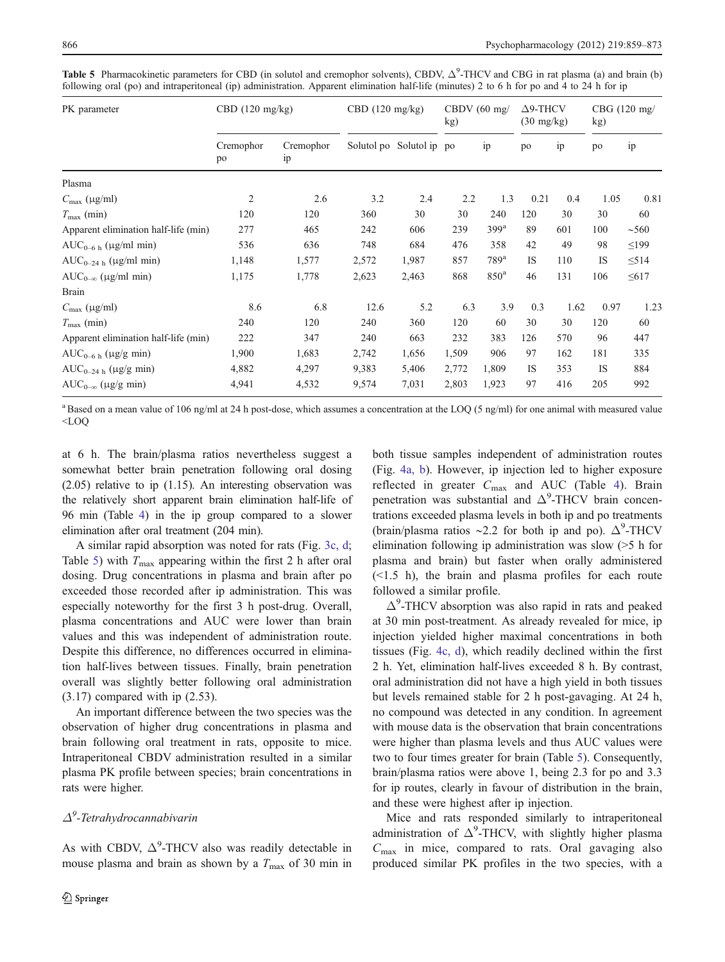| PK parameter                         | $CBD$ (120 mg/kg) |                 | $CBD$ (120 mg/kg) |                          | CBDV $(60 \text{ mg}/$<br>kg) |                    | $\Delta$ 9-THCV<br>$(30 \text{ mg/kg})$ |      | CBG (120 mg)<br>kg) |            |
|--------------------------------------|-------------------|-----------------|-------------------|--------------------------|-------------------------------|--------------------|-----------------------------------------|------|---------------------|------------|
|                                      | Cremophor<br>po   | Cremophor<br>ip |                   | Solutol po Solutol ip po |                               | ip                 | po                                      | ip   | po                  | ip         |
| Plasma                               |                   |                 |                   |                          |                               |                    |                                         |      |                     |            |
| $C_{\text{max}}$ (µg/ml)             | $\overline{2}$    | 2.6             | 3.2               | 2.4                      | 2.2                           | 1.3                | 0.21                                    | 0.4  | 1.05                | 0.81       |
| $T_{\text{max}}$ (min)               | 120               | 120             | 360               | 30                       | 30                            | 240                | 120                                     | 30   | 30                  | 60         |
| Apparent elimination half-life (min) | 277               | 465             | 242               | 606                      | 239                           | 399 <sup>a</sup>   | 89                                      | 601  | 100                 | ~1560      |
| $AUC_{0-6 h}$ (µg/ml min)            | 536               | 636             | 748               | 684                      | 476                           | 358                | 42                                      | 49   | 98                  | $\leq$ 199 |
| $AUC_{0-24 h}$ (µg/ml min)           | 1,148             | 1,577           | 2,572             | 1,987                    | 857                           | $789$ <sup>a</sup> | <b>IS</b>                               | 110  | <b>IS</b>           | $\leq$ 514 |
| $AUC_{0-\infty}$ (µg/ml min)         | 1,175             | 1,778           | 2,623             | 2,463                    | 868                           | 850 <sup>a</sup>   | 46                                      | 131  | 106                 | $\leq 617$ |
| <b>Brain</b>                         |                   |                 |                   |                          |                               |                    |                                         |      |                     |            |
| $C_{\text{max}}$ (µg/ml)             | 8.6               | 6.8             | 12.6              | 5.2                      | 6.3                           | 3.9                | 0.3                                     | 1.62 | 0.97                | 1.23       |
| $T_{\rm max}$ (min)                  | 240               | 120             | 240               | 360                      | 120                           | 60                 | 30                                      | 30   | 120                 | 60         |
| Apparent elimination half-life (min) | 222               | 347             | 240               | 663                      | 232                           | 383                | 126                                     | 570  | 96                  | 447        |
| $AUC_{0-6 h}$ (µg/g min)             | 1,900             | 1,683           | 2,742             | 1,656                    | 1,509                         | 906                | 97                                      | 162  | 181                 | 335        |
| $AUC_{0-24 h}$ (µg/g min)            | 4,882             | 4,297           | 9,383             | 5,406                    | 2,772                         | 1,809              | IS                                      | 353  | <b>IS</b>           | 884        |
| $AUC_{0-\infty}$ (µg/g min)          | 4,941             | 4,532           | 9,574             | 7,031                    | 2,803                         | 1,923              | 97                                      | 416  | 205                 | 992        |

Table 5 Pharmacokinetic parameters for CBD (in solutol and cremophor solvents), CBDV,  $\Delta^9$ -THCV and CBG in rat plasma (a) and brain (b) following oral (po) and intraperitoneal (ip) administration. Apparent elimination half-life (minutes) 2 to 6 h for po and 4 to 24 h for ip

<sup>a</sup> Based on a mean value of 106 ng/ml at 24 h post-dose, which assumes a concentration at the LOQ (5 ng/ml) for one animal with measured value <LOQ

at 6 h. The brain/plasma ratios nevertheless suggest a somewhat better brain penetration following oral dosing (2.05) relative to ip (1.15). An interesting observation was the relatively short apparent brain elimination half-life of 96 min (Table 4) in the ip group compared to a slower elimination after oral treatment (204 min).

A similar rapid absorption was noted for rats (Fig. 3c, d; Table 5) with  $T_{\text{max}}$  appearing within the first 2 h after oral dosing. Drug concentrations in plasma and brain after po exceeded those recorded after ip administration. This was especially noteworthy for the first 3 h post-drug. Overall, plasma concentrations and AUC were lower than brain values and this was independent of administration route. Despite this difference, no differences occurred in elimination half-lives between tissues. Finally, brain penetration overall was slightly better following oral administration (3.17) compared with ip (2.53).

An important difference between the two species was the observation of higher drug concentrations in plasma and brain following oral treatment in rats, opposite to mice. Intraperitoneal CBDV administration resulted in a similar plasma PK profile between species; brain concentrations in rats were higher.

## $\Delta^9$ -Tetrahydrocannabivarin

As with CBDV,  $\Delta^9$ -THCV also was readily detectable in mouse plasma and brain as shown by a  $T_{\text{max}}$  of 30 min in both tissue samples independent of administration routes (Fig. 4a, b). However, ip injection led to higher exposure reflected in greater  $C_{\text{max}}$  and AUC (Table 4). Brain penetration was substantial and  $\Delta^9$ -THCV brain concentrations exceeded plasma levels in both ip and po treatments (brain/plasma ratios ~2.2 for both ip and po).  $\Delta^9$ -THCV elimination following ip administration was slow (>5 h for plasma and brain) but faster when orally administered  $(\leq 1.5)$  h), the brain and plasma profiles for each route followed a similar profile.

 $\Delta^9$ -THCV absorption was also rapid in rats and peaked at 30 min post-treatment. As already revealed for mice, ip injection yielded higher maximal concentrations in both tissues (Fig. 4c, d), which readily declined within the first 2 h. Yet, elimination half-lives exceeded 8 h. By contrast, oral administration did not have a high yield in both tissues but levels remained stable for 2 h post-gavaging. At 24 h, no compound was detected in any condition. In agreement with mouse data is the observation that brain concentrations were higher than plasma levels and thus AUC values were two to four times greater for brain (Table 5). Consequently, brain/plasma ratios were above 1, being 2.3 for po and 3.3 for ip routes, clearly in favour of distribution in the brain, and these were highest after ip injection.

Mice and rats responded similarly to intraperitoneal administration of  $\Delta^9$ -THCV, with slightly higher plasma  $C_{\text{max}}$  in mice, compared to rats. Oral gavaging also produced similar PK profiles in the two species, with a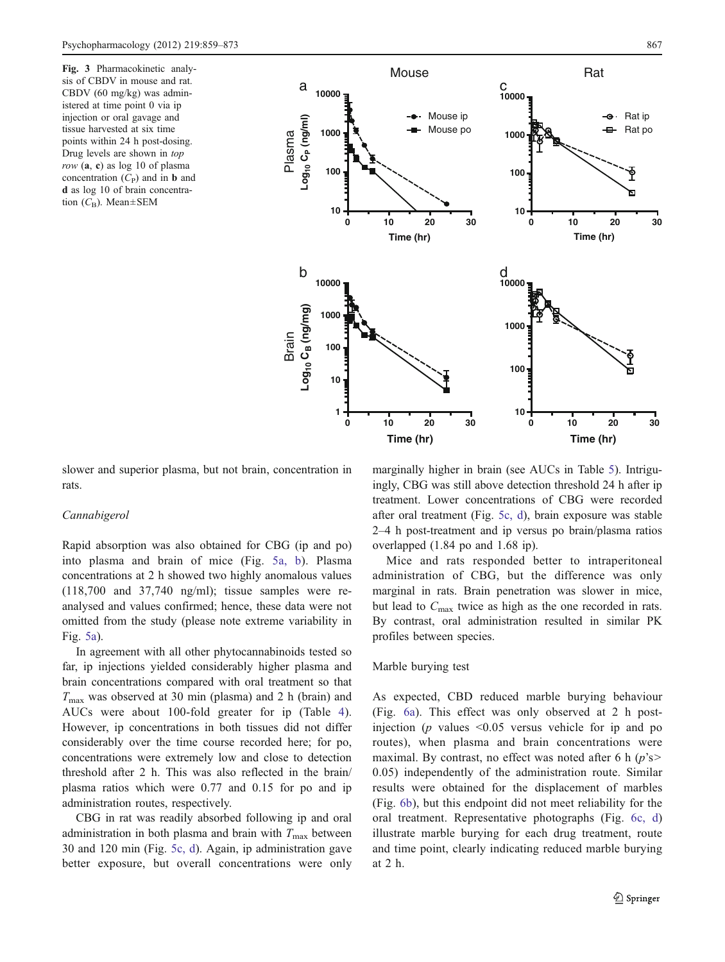Fig. 3 Pharmacokinetic analysis of CBDV in mouse and rat. CBDV (60 mg/kg) was administered at time point 0 via ip injection or oral gavage and tissue harvested at six time points within 24 h post-dosing. Drug levels are shown in top row  $(a, c)$  as  $log 10$  of plasma concentration  $(C_P)$  and in **b** and d as log 10 of brain concentration  $(C_{\text{B}})$ . Mean $\pm$ SEM



slower and superior plasma, but not brain, concentration in rats.

## Cannabigerol

Rapid absorption was also obtained for CBG (ip and po) into plasma and brain of mice (Fig. 5a, b). Plasma concentrations at 2 h showed two highly anomalous values (118,700 and 37,740 ng/ml); tissue samples were reanalysed and values confirmed; hence, these data were not omitted from the study (please note extreme variability in Fig. 5a).

In agreement with all other phytocannabinoids tested so far, ip injections yielded considerably higher plasma and brain concentrations compared with oral treatment so that  $T_{\text{max}}$  was observed at 30 min (plasma) and 2 h (brain) and AUCs were about 100-fold greater for ip (Table 4). However, ip concentrations in both tissues did not differ considerably over the time course recorded here; for po, concentrations were extremely low and close to detection threshold after 2 h. This was also reflected in the brain/ plasma ratios which were 0.77 and 0.15 for po and ip administration routes, respectively.

CBG in rat was readily absorbed following ip and oral administration in both plasma and brain with  $T_{\text{max}}$  between 30 and 120 min (Fig. 5c, d). Again, ip administration gave better exposure, but overall concentrations were only marginally higher in brain (see AUCs in Table 5). Intriguingly, CBG was still above detection threshold 24 h after ip treatment. Lower concentrations of CBG were recorded after oral treatment (Fig. 5c, d), brain exposure was stable 2–4 h post-treatment and ip versus po brain/plasma ratios overlapped (1.84 po and 1.68 ip).

Mice and rats responded better to intraperitoneal administration of CBG, but the difference was only marginal in rats. Brain penetration was slower in mice, but lead to  $C_{\text{max}}$  twice as high as the one recorded in rats. By contrast, oral administration resulted in similar PK profiles between species.

#### Marble burying test

As expected, CBD reduced marble burying behaviour (Fig. 6a). This effect was only observed at 2 h postinjection ( $p$  values  $\leq 0.05$  versus vehicle for ip and po routes), when plasma and brain concentrations were maximal. By contrast, no effect was noted after 6 h  $(p's$ 0.05) independently of the administration route. Similar results were obtained for the displacement of marbles (Fig. 6b), but this endpoint did not meet reliability for the oral treatment. Representative photographs (Fig. 6c, d) illustrate marble burying for each drug treatment, route and time point, clearly indicating reduced marble burying at 2 h.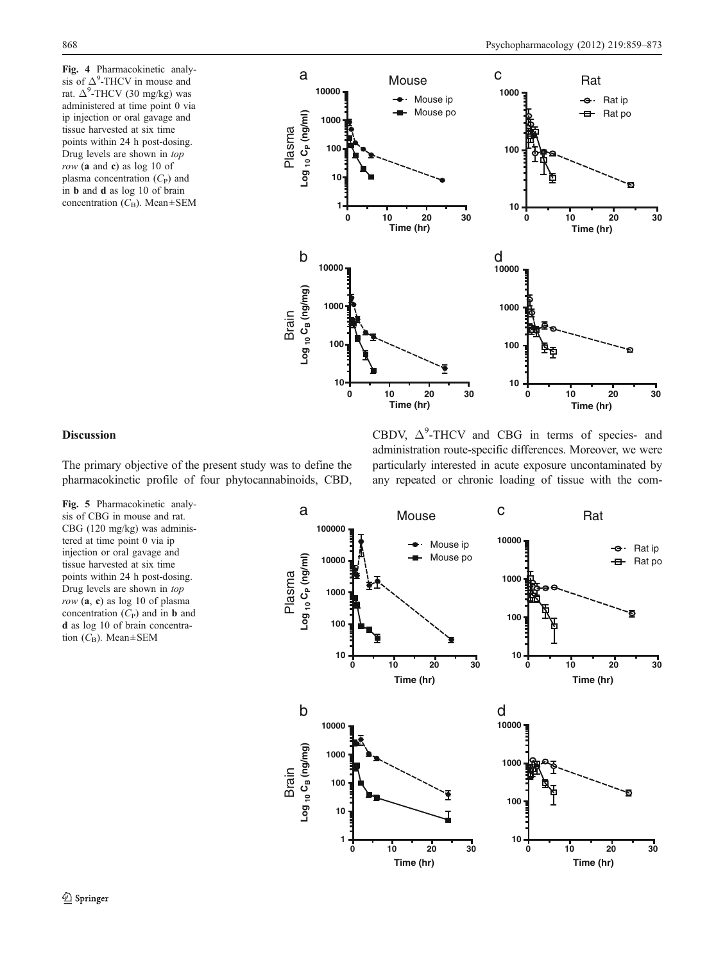Fig. 4 Pharmacokinetic analysis of  $\Delta^9$ -THCV in mouse and rat.  $\Delta^9$ -THCV (30 mg/kg) was administered at time point 0 via ip injection or oral gavage and tissue harvested at six time points within 24 h post-dosing. Drug levels are shown in top row (a and c) as log 10 of plasma concentration  $(C_P)$  and in b and d as log 10 of brain concentration  $(C_B)$ . Mean $\pm$ SEM



## Discussion

The primary objective of the present study was to define the pharmacokinetic profile of four phytocannabinoids, CBD,

Fig. 5 Pharmacokinetic analysis of CBG in mouse and rat. CBG (120 mg/kg) was administered at time point 0 via ip injection or oral gavage and tissue harvested at six time points within 24 h post-dosing. Drug levels are shown in top  $row$  (a, c) as log 10 of plasma concentration  $(C_P)$  and in **b** and d as log 10 of brain concentration  $(C_B)$ . Mean $\pm$ SEM

CBDV,  $\Delta^9$ -THCV and CBG in terms of species- and administration route-specific differences. Moreover, we were particularly interested in acute exposure uncontaminated by any repeated or chronic loading of tissue with the com-

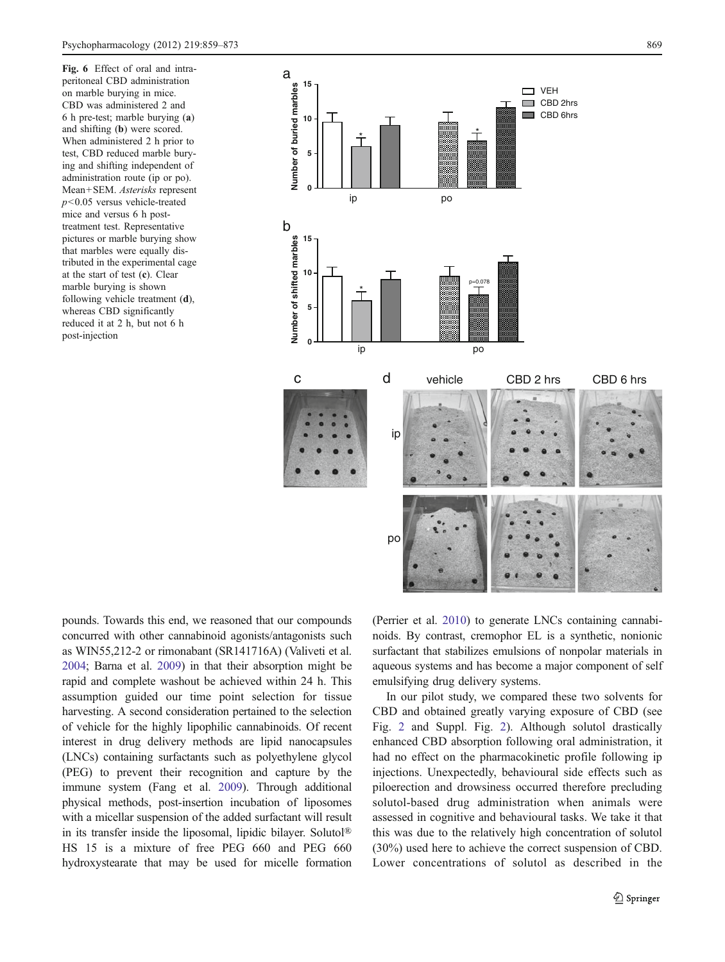Fig. 6 Effect of oral and intraperitoneal CBD administration on marble burying in mice. CBD was administered 2 and 6 h pre-test; marble burying (a) and shifting (b) were scored. When administered 2 h prior to test, CBD reduced marble burying and shifting independent of administration route (ip or po). Mean+SEM. Asterisks represent  $p$ <0.05 versus vehicle-treated mice and versus 6 h posttreatment test. Representative pictures or marble burying show that marbles were equally distributed in the experimental cage at the start of test (c). Clear marble burying is shown following vehicle treatment (d), whereas CBD significantly reduced it at 2 h, but not 6 h post-injection



pounds. Towards this end, we reasoned that our compounds concurred with other cannabinoid agonists/antagonists such as WIN55,212-2 or rimonabant (SR141716A) (Valiveti et al. 2004; Barna et al. 2009) in that their absorption might be rapid and complete washout be achieved within 24 h. This assumption guided our time point selection for tissue harvesting. A second consideration pertained to the selection of vehicle for the highly lipophilic cannabinoids. Of recent interest in drug delivery methods are lipid nanocapsules (LNCs) containing surfactants such as polyethylene glycol (PEG) to prevent their recognition and capture by the immune system (Fang et al. 2009). Through additional physical methods, post-insertion incubation of liposomes with a micellar suspension of the added surfactant will result in its transfer inside the liposomal, lipidic bilayer. Solutol® HS 15 is a mixture of free PEG 660 and PEG 660 hydroxystearate that may be used for micelle formation (Perrier et al. 2010) to generate LNCs containing cannabinoids. By contrast, cremophor EL is a synthetic, nonionic surfactant that stabilizes emulsions of nonpolar materials in aqueous systems and has become a major component of self emulsifying drug delivery systems.

In our pilot study, we compared these two solvents for CBD and obtained greatly varying exposure of CBD (see Fig. 2 and Suppl. Fig. 2). Although solutol drastically enhanced CBD absorption following oral administration, it had no effect on the pharmacokinetic profile following ip injections. Unexpectedly, behavioural side effects such as piloerection and drowsiness occurred therefore precluding solutol-based drug administration when animals were assessed in cognitive and behavioural tasks. We take it that this was due to the relatively high concentration of solutol (30%) used here to achieve the correct suspension of CBD. Lower concentrations of solutol as described in the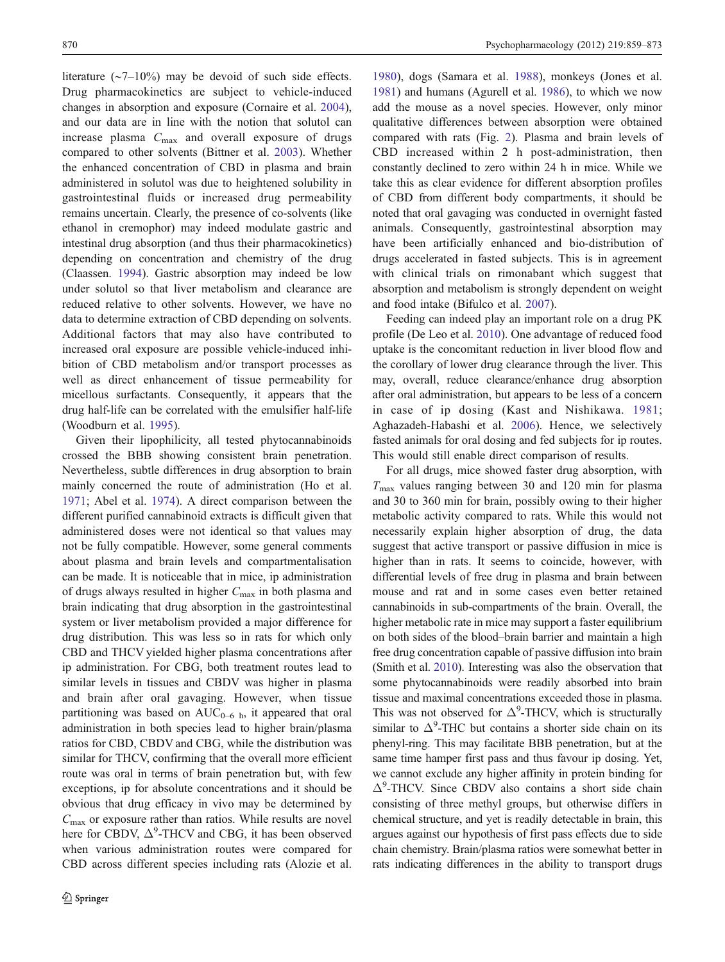literature (∼7–10%) may be devoid of such side effects. Drug pharmacokinetics are subject to vehicle-induced changes in absorption and exposure (Cornaire et al. 2004), and our data are in line with the notion that solutol can increase plasma  $C_{\text{max}}$  and overall exposure of drugs compared to other solvents (Bittner et al. 2003). Whether the enhanced concentration of CBD in plasma and brain administered in solutol was due to heightened solubility in gastrointestinal fluids or increased drug permeability remains uncertain. Clearly, the presence of co-solvents (like ethanol in cremophor) may indeed modulate gastric and intestinal drug absorption (and thus their pharmacokinetics) depending on concentration and chemistry of the drug (Claassen. 1994). Gastric absorption may indeed be low under solutol so that liver metabolism and clearance are reduced relative to other solvents. However, we have no data to determine extraction of CBD depending on solvents. Additional factors that may also have contributed to increased oral exposure are possible vehicle-induced inhibition of CBD metabolism and/or transport processes as well as direct enhancement of tissue permeability for micellous surfactants. Consequently, it appears that the drug half-life can be correlated with the emulsifier half-life (Woodburn et al. 1995).

Given their lipophilicity, all tested phytocannabinoids crossed the BBB showing consistent brain penetration. Nevertheless, subtle differences in drug absorption to brain mainly concerned the route of administration (Ho et al. 1971; Abel et al. 1974). A direct comparison between the different purified cannabinoid extracts is difficult given that administered doses were not identical so that values may not be fully compatible. However, some general comments about plasma and brain levels and compartmentalisation can be made. It is noticeable that in mice, ip administration of drugs always resulted in higher  $C_{\text{max}}$  in both plasma and brain indicating that drug absorption in the gastrointestinal system or liver metabolism provided a major difference for drug distribution. This was less so in rats for which only CBD and THCV yielded higher plasma concentrations after ip administration. For CBG, both treatment routes lead to similar levels in tissues and CBDV was higher in plasma and brain after oral gavaging. However, when tissue partitioning was based on  $AUC_{0-6 h}$ , it appeared that oral administration in both species lead to higher brain/plasma ratios for CBD, CBDV and CBG, while the distribution was similar for THCV, confirming that the overall more efficient route was oral in terms of brain penetration but, with few exceptions, ip for absolute concentrations and it should be obvious that drug efficacy in vivo may be determined by  $C_{\text{max}}$  or exposure rather than ratios. While results are novel here for CBDV,  $\Delta^9$ -THCV and CBG, it has been observed when various administration routes were compared for CBD across different species including rats (Alozie et al.

1980), dogs (Samara et al. 1988), monkeys (Jones et al. 1981) and humans (Agurell et al. 1986), to which we now add the mouse as a novel species. However, only minor qualitative differences between absorption were obtained compared with rats (Fig. 2). Plasma and brain levels of CBD increased within 2 h post-administration, then constantly declined to zero within 24 h in mice. While we take this as clear evidence for different absorption profiles of CBD from different body compartments, it should be noted that oral gavaging was conducted in overnight fasted animals. Consequently, gastrointestinal absorption may have been artificially enhanced and bio-distribution of drugs accelerated in fasted subjects. This is in agreement with clinical trials on rimonabant which suggest that absorption and metabolism is strongly dependent on weight and food intake (Bifulco et al. 2007).

Feeding can indeed play an important role on a drug PK profile (De Leo et al. 2010). One advantage of reduced food uptake is the concomitant reduction in liver blood flow and the corollary of lower drug clearance through the liver. This may, overall, reduce clearance/enhance drug absorption after oral administration, but appears to be less of a concern in case of ip dosing (Kast and Nishikawa. 1981; Aghazadeh-Habashi et al. 2006). Hence, we selectively fasted animals for oral dosing and fed subjects for ip routes. This would still enable direct comparison of results.

For all drugs, mice showed faster drug absorption, with  $T_{\text{max}}$  values ranging between 30 and 120 min for plasma and 30 to 360 min for brain, possibly owing to their higher metabolic activity compared to rats. While this would not necessarily explain higher absorption of drug, the data suggest that active transport or passive diffusion in mice is higher than in rats. It seems to coincide, however, with differential levels of free drug in plasma and brain between mouse and rat and in some cases even better retained cannabinoids in sub-compartments of the brain. Overall, the higher metabolic rate in mice may support a faster equilibrium on both sides of the blood–brain barrier and maintain a high free drug concentration capable of passive diffusion into brain (Smith et al. 2010). Interesting was also the observation that some phytocannabinoids were readily absorbed into brain tissue and maximal concentrations exceeded those in plasma. This was not observed for  $\Delta^9$ -THCV, which is structurally similar to  $\Delta^9$ -THC but contains a shorter side chain on its phenyl-ring. This may facilitate BBB penetration, but at the same time hamper first pass and thus favour ip dosing. Yet, we cannot exclude any higher affinity in protein binding for Δ9 -THCV. Since CBDV also contains a short side chain consisting of three methyl groups, but otherwise differs in chemical structure, and yet is readily detectable in brain, this argues against our hypothesis of first pass effects due to side chain chemistry. Brain/plasma ratios were somewhat better in rats indicating differences in the ability to transport drugs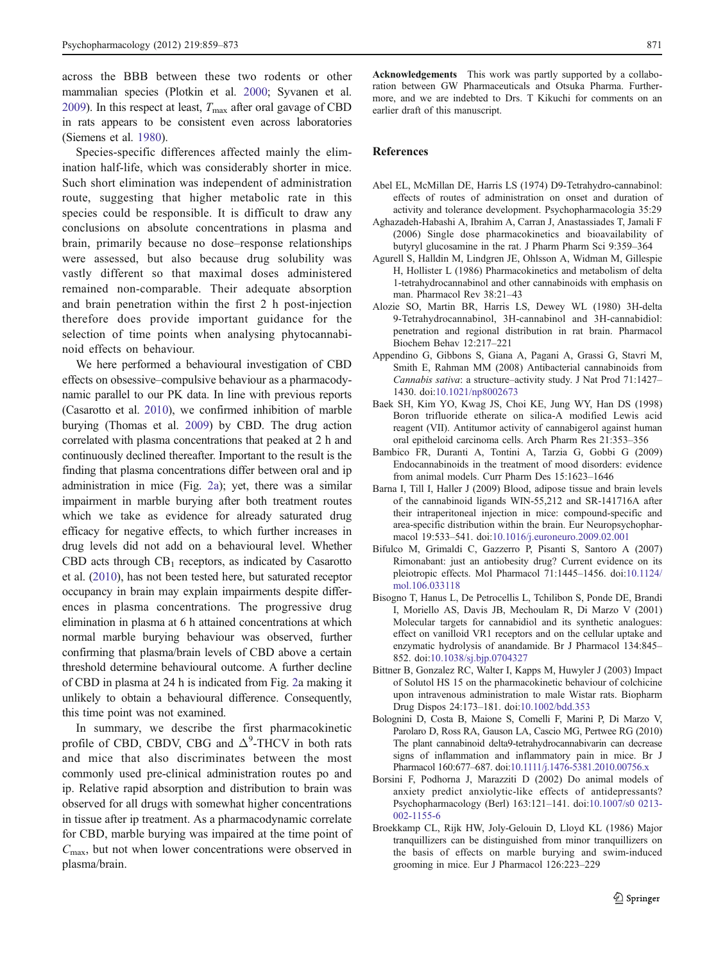across the BBB between these two rodents or other mammalian species (Plotkin et al. 2000; Syvanen et al. 2009). In this respect at least,  $T_{\text{max}}$  after oral gavage of CBD in rats appears to be consistent even across laboratories (Siemens et al. 1980).

Species-specific differences affected mainly the elimination half-life, which was considerably shorter in mice. Such short elimination was independent of administration route, suggesting that higher metabolic rate in this species could be responsible. It is difficult to draw any conclusions on absolute concentrations in plasma and brain, primarily because no dose–response relationships were assessed, but also because drug solubility was vastly different so that maximal doses administered remained non-comparable. Their adequate absorption and brain penetration within the first 2 h post-injection therefore does provide important guidance for the selection of time points when analysing phytocannabinoid effects on behaviour.

We here performed a behavioural investigation of CBD effects on obsessive–compulsive behaviour as a pharmacodynamic parallel to our PK data. In line with previous reports (Casarotto et al. 2010), we confirmed inhibition of marble burying (Thomas et al. 2009) by CBD. The drug action correlated with plasma concentrations that peaked at 2 h and continuously declined thereafter. Important to the result is the finding that plasma concentrations differ between oral and ip administration in mice (Fig. 2a); yet, there was a similar impairment in marble burying after both treatment routes which we take as evidence for already saturated drug efficacy for negative effects, to which further increases in drug levels did not add on a behavioural level. Whether CBD acts through  $CB_1$  receptors, as indicated by Casarotto et al. (2010), has not been tested here, but saturated receptor occupancy in brain may explain impairments despite differences in plasma concentrations. The progressive drug elimination in plasma at 6 h attained concentrations at which normal marble burying behaviour was observed, further confirming that plasma/brain levels of CBD above a certain threshold determine behavioural outcome. A further decline of CBD in plasma at 24 h is indicated from Fig. 2a making it unlikely to obtain a behavioural difference. Consequently, this time point was not examined.

In summary, we describe the first pharmacokinetic profile of CBD, CBDV, CBG and  $\Delta^9$ -THCV in both rats and mice that also discriminates between the most commonly used pre-clinical administration routes po and ip. Relative rapid absorption and distribution to brain was observed for all drugs with somewhat higher concentrations in tissue after ip treatment. As a pharmacodynamic correlate for CBD, marble burying was impaired at the time point of  $C_{\text{max}}$ , but not when lower concentrations were observed in plasma/brain.

Acknowledgements This work was partly supported by a collaboration between GW Pharmaceuticals and Otsuka Pharma. Furthermore, and we are indebted to Drs. T Kikuchi for comments on an earlier draft of this manuscript.

#### References

- Abel EL, McMillan DE, Harris LS (1974) D9-Tetrahydro-cannabinol: effects of routes of administration on onset and duration of activity and tolerance development. Psychopharmacologia 35:29
- Aghazadeh-Habashi A, Ibrahim A, Carran J, Anastassiades T, Jamali F (2006) Single dose pharmacokinetics and bioavailability of butyryl glucosamine in the rat. J Pharm Pharm Sci 9:359–364
- Agurell S, Halldin M, Lindgren JE, Ohlsson A, Widman M, Gillespie H, Hollister L (1986) Pharmacokinetics and metabolism of delta 1-tetrahydrocannabinol and other cannabinoids with emphasis on man. Pharmacol Rev 38:21–43
- Alozie SO, Martin BR, Harris LS, Dewey WL (1980) 3H-delta 9-Tetrahydrocannabinol, 3H-cannabinol and 3H-cannabidiol: penetration and regional distribution in rat brain. Pharmacol Biochem Behav 12:217–221
- Appendino G, Gibbons S, Giana A, Pagani A, Grassi G, Stavri M, Smith E, Rahman MM (2008) Antibacterial cannabinoids from Cannabis sativa: a structure–activity study. J Nat Prod 71:1427– 1430. doi:[10.1021/np8002673](http://dx.doi.org/10.1021/np8002673)
- Baek SH, Kim YO, Kwag JS, Choi KE, Jung WY, Han DS (1998) Boron trifluoride etherate on silica-A modified Lewis acid reagent (VII). Antitumor activity of cannabigerol against human oral epitheloid carcinoma cells. Arch Pharm Res 21:353–356
- Bambico FR, Duranti A, Tontini A, Tarzia G, Gobbi G (2009) Endocannabinoids in the treatment of mood disorders: evidence from animal models. Curr Pharm Des 15:1623–1646
- Barna I, Till I, Haller J (2009) Blood, adipose tissue and brain levels of the cannabinoid ligands WIN-55,212 and SR-141716A after their intraperitoneal injection in mice: compound-specific and area-specific distribution within the brain. Eur Neuropsychopharmacol 19:533–541. doi:[10.1016/j.euroneuro.2009.02.001](http://dx.doi.org/10.1016/j.euroneuro.2009.02.001)
- Bifulco M, Grimaldi C, Gazzerro P, Pisanti S, Santoro A (2007) Rimonabant: just an antiobesity drug? Current evidence on its pleiotropic effects. Mol Pharmacol 71:1445–1456. doi:[10.1124/](http://dx.doi.org/10.1124/mol.106.033118) [mol.106.033118](http://dx.doi.org/10.1124/mol.106.033118)
- Bisogno T, Hanus L, De Petrocellis L, Tchilibon S, Ponde DE, Brandi I, Moriello AS, Davis JB, Mechoulam R, Di Marzo V (2001) Molecular targets for cannabidiol and its synthetic analogues: effect on vanilloid VR1 receptors and on the cellular uptake and enzymatic hydrolysis of anandamide. Br J Pharmacol 134:845– 852. doi:[10.1038/sj.bjp.0704327](http://dx.doi.org/10.1038/sj.bjp.0704327)
- Bittner B, Gonzalez RC, Walter I, Kapps M, Huwyler J (2003) Impact of Solutol HS 15 on the pharmacokinetic behaviour of colchicine upon intravenous administration to male Wistar rats. Biopharm Drug Dispos 24:173–181. doi:[10.1002/bdd.353](http://dx.doi.org/10.1002/bdd.353)
- Bolognini D, Costa B, Maione S, Comelli F, Marini P, Di Marzo V, Parolaro D, Ross RA, Gauson LA, Cascio MG, Pertwee RG (2010) The plant cannabinoid delta9-tetrahydrocannabivarin can decrease signs of inflammation and inflammatory pain in mice. Br J Pharmacol 160:677–687. doi:[10.1111/j.1476-5381.2010.00756.x](http://dx.doi.org/10.1111/j.1476-5381.2010.00756.x)
- Borsini F, Podhorna J, Marazziti D (2002) Do animal models of anxiety predict anxiolytic-like effects of antidepressants? Psychopharmacology (Berl) 163:121–141. doi[:10.1007/s0 0213-](http://dx.doi.org/10.1007/s00213-002-1155-6) [002-1155-6](http://dx.doi.org/10.1007/s00213-002-1155-6)
- Broekkamp CL, Rijk HW, Joly-Gelouin D, Lloyd KL (1986) Major tranquillizers can be distinguished from minor tranquillizers on the basis of effects on marble burying and swim-induced grooming in mice. Eur J Pharmacol 126:223–229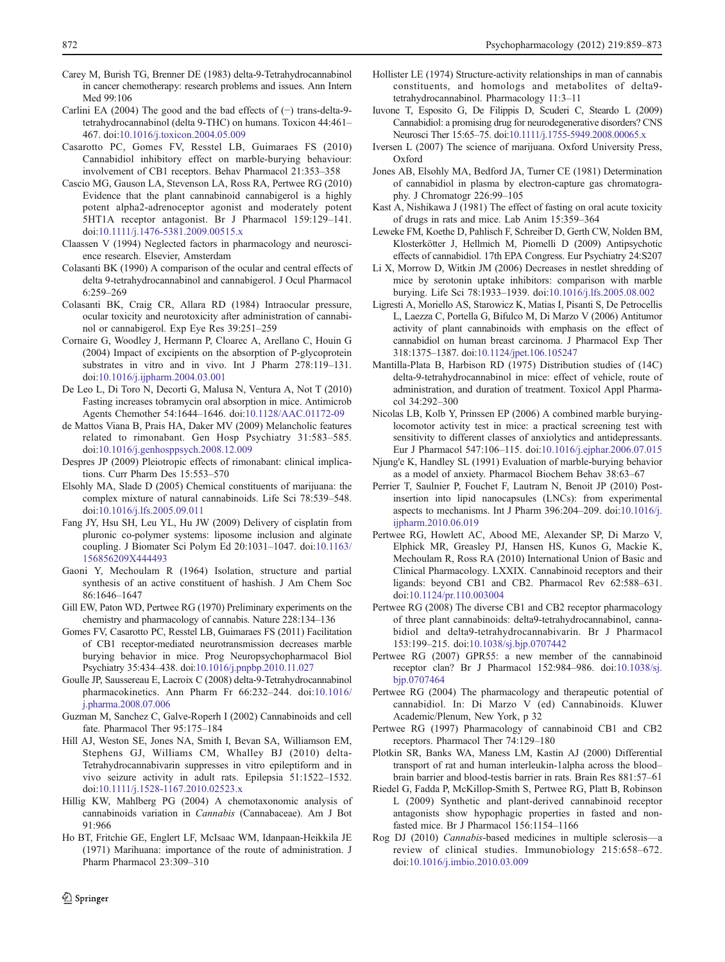- Carey M, Burish TG, Brenner DE (1983) delta-9-Tetrahydrocannabinol in cancer chemotherapy: research problems and issues. Ann Intern Med 99:106
- Carlini EA (2004) The good and the bad effects of (−) trans-delta-9 tetrahydrocannabinol (delta 9-THC) on humans. Toxicon 44:461– 467. doi[:10.1016/j.toxicon.2004.05.009](http://dx.doi.org/10.1016/j.toxicon.2004.05.009)
- Casarotto PC, Gomes FV, Resstel LB, Guimaraes FS (2010) Cannabidiol inhibitory effect on marble-burying behaviour: involvement of CB1 receptors. Behav Pharmacol 21:353–358
- Cascio MG, Gauson LA, Stevenson LA, Ross RA, Pertwee RG (2010) Evidence that the plant cannabinoid cannabigerol is a highly potent alpha2-adrenoceptor agonist and moderately potent 5HT1A receptor antagonist. Br J Pharmacol 159:129–141. doi[:10.1111/j.1476-5381.2009.00515.x](http://dx.doi.org/10.1111/j.1476-5381.2009.00515.x)
- Claassen V (1994) Neglected factors in pharmacology and neuroscience research. Elsevier, Amsterdam
- Colasanti BK (1990) A comparison of the ocular and central effects of delta 9-tetrahydrocannabinol and cannabigerol. J Ocul Pharmacol 6:259–269
- Colasanti BK, Craig CR, Allara RD (1984) Intraocular pressure, ocular toxicity and neurotoxicity after administration of cannabinol or cannabigerol. Exp Eye Res 39:251–259
- Cornaire G, Woodley J, Hermann P, Cloarec A, Arellano C, Houin G (2004) Impact of excipients on the absorption of P-glycoprotein substrates in vitro and in vivo. Int J Pharm 278:119–131. doi[:10.1016/j.ijpharm.2004.03.001](http://dx.doi.org/10.1016/j.ijpharm.2004.03.001)
- De Leo L, Di Toro N, Decorti G, Malusa N, Ventura A, Not T (2010) Fasting increases tobramycin oral absorption in mice. Antimicrob Agents Chemother 54:1644–1646. doi:[10.1128/AAC.01172-09](http://dx.doi.org/10.1128/AAC.01172-09)
- de Mattos Viana B, Prais HA, Daker MV (2009) Melancholic features related to rimonabant. Gen Hosp Psychiatry 31:583–585. doi[:10.1016/j.genhosppsych.2008.12.009](http://dx.doi.org/10.1016/j.genhosppsych.2008.12.009)
- Despres JP (2009) Pleiotropic effects of rimonabant: clinical implications. Curr Pharm Des 15:553–570
- Elsohly MA, Slade D (2005) Chemical constituents of marijuana: the complex mixture of natural cannabinoids. Life Sci 78:539–548. doi[:10.1016/j.lfs.2005.09.011](http://dx.doi.org/10.1016/j.lfs.2005.09.011)
- Fang JY, Hsu SH, Leu YL, Hu JW (2009) Delivery of cisplatin from pluronic co-polymer systems: liposome inclusion and alginate coupling. J Biomater Sci Polym Ed 20:1031–1047. doi:[10.1163/](http://dx.doi.org/10.1163/156856209X444493) [156856209X444493](http://dx.doi.org/10.1163/156856209X444493)
- Gaoni Y, Mechoulam R (1964) Isolation, structure and partial synthesis of an active constituent of hashish. J Am Chem Soc 86:1646–1647
- Gill EW, Paton WD, Pertwee RG (1970) Preliminary experiments on the chemistry and pharmacology of cannabis. Nature 228:134–136
- Gomes FV, Casarotto PC, Resstel LB, Guimaraes FS (2011) Facilitation of CB1 receptor-mediated neurotransmission decreases marble burying behavior in mice. Prog Neuropsychopharmacol Biol Psychiatry 35:434–438. doi[:10.1016/j.pnpbp.2010.11.027](http://dx.doi.org/10.1016/j.pnpbp.2010.11.027)
- Goulle JP, Saussereau E, Lacroix C (2008) delta-9-Tetrahydrocannabinol pharmacokinetics. Ann Pharm Fr 66:232–244. doi:[10.1016/](http://dx.doi.org/10.1016/j.pharma.2008.07.006) [j.pharma.2008.07.006](http://dx.doi.org/10.1016/j.pharma.2008.07.006)
- Guzman M, Sanchez C, Galve-Roperh I (2002) Cannabinoids and cell fate. Pharmacol Ther 95:175–184
- Hill AJ, Weston SE, Jones NA, Smith I, Bevan SA, Williamson EM, Stephens GJ, Williams CM, Whalley BJ (2010) delta-Tetrahydrocannabivarin suppresses in vitro epileptiform and in vivo seizure activity in adult rats. Epilepsia 51:1522–1532. doi[:10.1111/j.1528-1167.2010.02523.x](http://dx.doi.org/10.1111/j.1528-1167.2010.02523.x)
- Hillig KW, Mahlberg PG (2004) A chemotaxonomic analysis of cannabinoids variation in Cannabis (Cannabaceae). Am J Bot 91:966
- Ho BT, Fritchie GE, Englert LF, McIsaac WM, Idanpaan-Heikkila JE (1971) Marihuana: importance of the route of administration. J Pharm Pharmacol 23:309–310
- Hollister LE (1974) Structure-activity relationships in man of cannabis constituents, and homologs and metabolites of delta9 tetrahydrocannabinol. Pharmacology 11:3–11
- Iuvone T, Esposito G, De Filippis D, Scuderi C, Steardo L (2009) Cannabidiol: a promising drug for neurodegenerative disorders? CNS Neurosci Ther 15:65–75. doi[:10.1111/j.1755-5949.2008.00065.x](http://dx.doi.org/10.1111/j.1755-5949.2008.00065.x)
- Iversen L (2007) The science of marijuana. Oxford University Press, Oxford
- Jones AB, Elsohly MA, Bedford JA, Turner CE (1981) Determination of cannabidiol in plasma by electron-capture gas chromatography. J Chromatogr 226:99–105
- Kast A, Nishikawa J (1981) The effect of fasting on oral acute toxicity of drugs in rats and mice. Lab Anim 15:359–364
- Leweke FM, Koethe D, Pahlisch F, Schreiber D, Gerth CW, Nolden BM, Klosterkötter J, Hellmich M, Piomelli D (2009) Antipsychotic effects of cannabidiol. 17th EPA Congress. Eur Psychiatry 24:S207
- Li X, Morrow D, Witkin JM (2006) Decreases in nestlet shredding of mice by serotonin uptake inhibitors: comparison with marble burying. Life Sci 78:1933–1939. doi[:10.1016/j.lfs.2005.08.002](http://dx.doi.org/10.1016/j.lfs.2005.08.002)
- Ligresti A, Moriello AS, Starowicz K, Matias I, Pisanti S, De Petrocellis L, Laezza C, Portella G, Bifulco M, Di Marzo V (2006) Antitumor activity of plant cannabinoids with emphasis on the effect of cannabidiol on human breast carcinoma. J Pharmacol Exp Ther 318:1375–1387. doi[:10.1124/jpet.106.105247](http://dx.doi.org/10.1124/jpet.106.105247)
- Mantilla-Plata B, Harbison RD (1975) Distribution studies of (14C) delta-9-tetrahydrocannabinol in mice: effect of vehicle, route of administration, and duration of treatment. Toxicol Appl Pharmacol 34:292–300
- Nicolas LB, Kolb Y, Prinssen EP (2006) A combined marble buryinglocomotor activity test in mice: a practical screening test with sensitivity to different classes of anxiolytics and antidepressants. Eur J Pharmacol 547:106–115. doi:[10.1016/j.ejphar.2006.07.015](http://dx.doi.org/10.1016/j.ejphar.2006.07.015)
- Njung'e K, Handley SL (1991) Evaluation of marble-burying behavior as a model of anxiety. Pharmacol Biochem Behav 38:63–67
- Perrier T, Saulnier P, Fouchet F, Lautram N, Benoit JP (2010) Postinsertion into lipid nanocapsules (LNCs): from experimental aspects to mechanisms. Int J Pharm 396:204–209. doi[:10.1016/j.](http://dx.doi.org/10.1016/j.ijpharm.2010.06.019) [ijpharm.2010.06.019](http://dx.doi.org/10.1016/j.ijpharm.2010.06.019)
- Pertwee RG, Howlett AC, Abood ME, Alexander SP, Di Marzo V, Elphick MR, Greasley PJ, Hansen HS, Kunos G, Mackie K, Mechoulam R, Ross RA (2010) International Union of Basic and Clinical Pharmacology. LXXIX. Cannabinoid receptors and their ligands: beyond CB1 and CB2. Pharmacol Rev 62:588–631. doi[:10.1124/pr.110.003004](http://dx.doi.org/10.1124/pr.110.003004)
- Pertwee RG (2008) The diverse CB1 and CB2 receptor pharmacology of three plant cannabinoids: delta9-tetrahydrocannabinol, cannabidiol and delta9-tetrahydrocannabivarin. Br J Pharmacol 153:199–215. doi:[10.1038/sj.bjp.0707442](http://dx.doi.org/10.1038/sj.bjp.0707442)
- Pertwee RG (2007) GPR55: a new member of the cannabinoid receptor clan? Br J Pharmacol 152:984–986. doi:[10.1038/sj.](http://dx.doi.org/10.1038/sj.bjp.0707464) [bjp.0707464](http://dx.doi.org/10.1038/sj.bjp.0707464)
- Pertwee RG (2004) The pharmacology and therapeutic potential of cannabidiol. In: Di Marzo V (ed) Cannabinoids. Kluwer Academic/Plenum, New York, p 32
- Pertwee RG (1997) Pharmacology of cannabinoid CB1 and CB2 receptors. Pharmacol Ther 74:129–180
- Plotkin SR, Banks WA, Maness LM, Kastin AJ (2000) Differential transport of rat and human interleukin-1alpha across the blood– brain barrier and blood-testis barrier in rats. Brain Res 881:57–61
- Riedel G, Fadda P, McKillop-Smith S, Pertwee RG, Platt B, Robinson L (2009) Synthetic and plant-derived cannabinoid receptor antagonists show hypophagic properties in fasted and nonfasted mice. Br J Pharmacol 156:1154–1166
- Rog DJ (2010) Cannabis-based medicines in multiple sclerosis—a review of clinical studies. Immunobiology 215:658–672. doi[:10.1016/j.imbio.2010.03.009](http://dx.doi.org/10.1016/j.imbio.2010.03.009)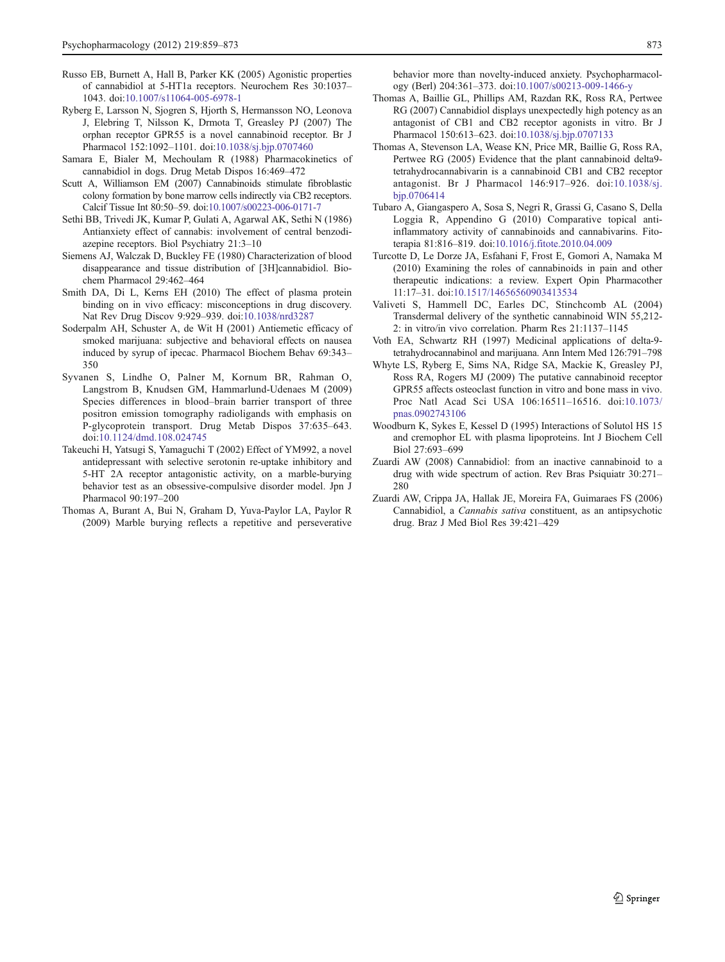- Russo EB, Burnett A, Hall B, Parker KK (2005) Agonistic properties of cannabidiol at 5-HT1a receptors. Neurochem Res 30:1037– 1043. doi:[10.1007/s11064-005-6978-1](http://dx.doi.org/10.1007/s11064-005-6978-1)
- Ryberg E, Larsson N, Sjogren S, Hjorth S, Hermansson NO, Leonova J, Elebring T, Nilsson K, Drmota T, Greasley PJ (2007) The orphan receptor GPR55 is a novel cannabinoid receptor. Br J Pharmacol 152:1092–1101. doi[:10.1038/sj.bjp.0707460](http://dx.doi.org/10.1038/sj.bjp.0707460)
- Samara E, Bialer M, Mechoulam R (1988) Pharmacokinetics of cannabidiol in dogs. Drug Metab Dispos 16:469–472
- Scutt A, Williamson EM (2007) Cannabinoids stimulate fibroblastic colony formation by bone marrow cells indirectly via CB2 receptors. Calcif Tissue Int 80:50–59. doi[:10.1007/s00223-006-0171-7](http://dx.doi.org/10.1007/s00223-006-0171-7)
- Sethi BB, Trivedi JK, Kumar P, Gulati A, Agarwal AK, Sethi N (1986) Antianxiety effect of cannabis: involvement of central benzodiazepine receptors. Biol Psychiatry 21:3–10
- Siemens AJ, Walczak D, Buckley FE (1980) Characterization of blood disappearance and tissue distribution of [3H]cannabidiol. Biochem Pharmacol 29:462–464
- Smith DA, Di L, Kerns EH (2010) The effect of plasma protein binding on in vivo efficacy: misconceptions in drug discovery. Nat Rev Drug Discov 9:929–939. doi[:10.1038/nrd3287](http://dx.doi.org/10.1038/nrd3287)
- Soderpalm AH, Schuster A, de Wit H (2001) Antiemetic efficacy of smoked marijuana: subjective and behavioral effects on nausea induced by syrup of ipecac. Pharmacol Biochem Behav 69:343– 350
- Syvanen S, Lindhe O, Palner M, Kornum BR, Rahman O, Langstrom B, Knudsen GM, Hammarlund-Udenaes M (2009) Species differences in blood–brain barrier transport of three positron emission tomography radioligands with emphasis on P-glycoprotein transport. Drug Metab Dispos 37:635–643. doi[:10.1124/dmd.108.024745](http://dx.doi.org/10.1124/dmd.108.024745)
- Takeuchi H, Yatsugi S, Yamaguchi T (2002) Effect of YM992, a novel antidepressant with selective serotonin re-uptake inhibitory and 5-HT 2A receptor antagonistic activity, on a marble-burying behavior test as an obsessive-compulsive disorder model. Jpn J Pharmacol 90:197–200
- Thomas A, Burant A, Bui N, Graham D, Yuva-Paylor LA, Paylor R (2009) Marble burying reflects a repetitive and perseverative

behavior more than novelty-induced anxiety. Psychopharmacology (Berl) 204:361–373. doi:[10.1007/s00213-009-1466-y](http://dx.doi.org/10.1007/s00213-009-1466-y)

- Thomas A, Baillie GL, Phillips AM, Razdan RK, Ross RA, Pertwee RG (2007) Cannabidiol displays unexpectedly high potency as an antagonist of CB1 and CB2 receptor agonists in vitro. Br J Pharmacol 150:613–623. doi[:10.1038/sj.bjp.0707133](http://dx.doi.org/10.1038/sj.bjp.0707133)
- Thomas A, Stevenson LA, Wease KN, Price MR, Baillie G, Ross RA, Pertwee RG (2005) Evidence that the plant cannabinoid delta9 tetrahydrocannabivarin is a cannabinoid CB1 and CB2 receptor antagonist. Br J Pharmacol 146:917–926. doi[:10.1038/sj.](http://dx.doi.org/10.1038/sj.bjp.0706414) [bjp.0706414](http://dx.doi.org/10.1038/sj.bjp.0706414)
- Tubaro A, Giangaspero A, Sosa S, Negri R, Grassi G, Casano S, Della Loggia R, Appendino G (2010) Comparative topical antiinflammatory activity of cannabinoids and cannabivarins. Fitoterapia 81:816–819. doi:[10.1016/j.fitote.2010.04.009](http://dx.doi.org/10.1016/j.fitote.2010.04.009)
- Turcotte D, Le Dorze JA, Esfahani F, Frost E, Gomori A, Namaka M (2010) Examining the roles of cannabinoids in pain and other therapeutic indications: a review. Expert Opin Pharmacother 11:17–31. doi:[10.1517/14656560903413534](http://dx.doi.org/10.1517/14656560903413534)
- Valiveti S, Hammell DC, Earles DC, Stinchcomb AL (2004) Transdermal delivery of the synthetic cannabinoid WIN 55,212- 2: in vitro/in vivo correlation. Pharm Res 21:1137–1145
- Voth EA, Schwartz RH (1997) Medicinal applications of delta-9 tetrahydrocannabinol and marijuana. Ann Intern Med 126:791–798
- Whyte LS, Ryberg E, Sims NA, Ridge SA, Mackie K, Greasley PJ, Ross RA, Rogers MJ (2009) The putative cannabinoid receptor GPR55 affects osteoclast function in vitro and bone mass in vivo. Proc Natl Acad Sci USA 106:16511–16516. doi[:10.1073/](http://dx.doi.org/10.1073/pnas.0902743106) [pnas.0902743106](http://dx.doi.org/10.1073/pnas.0902743106)
- Woodburn K, Sykes E, Kessel D (1995) Interactions of Solutol HS 15 and cremophor EL with plasma lipoproteins. Int J Biochem Cell Biol 27:693–699
- Zuardi AW (2008) Cannabidiol: from an inactive cannabinoid to a drug with wide spectrum of action. Rev Bras Psiquiatr 30:271– 280
- Zuardi AW, Crippa JA, Hallak JE, Moreira FA, Guimaraes FS (2006) Cannabidiol, a Cannabis sativa constituent, as an antipsychotic drug. Braz J Med Biol Res 39:421–429